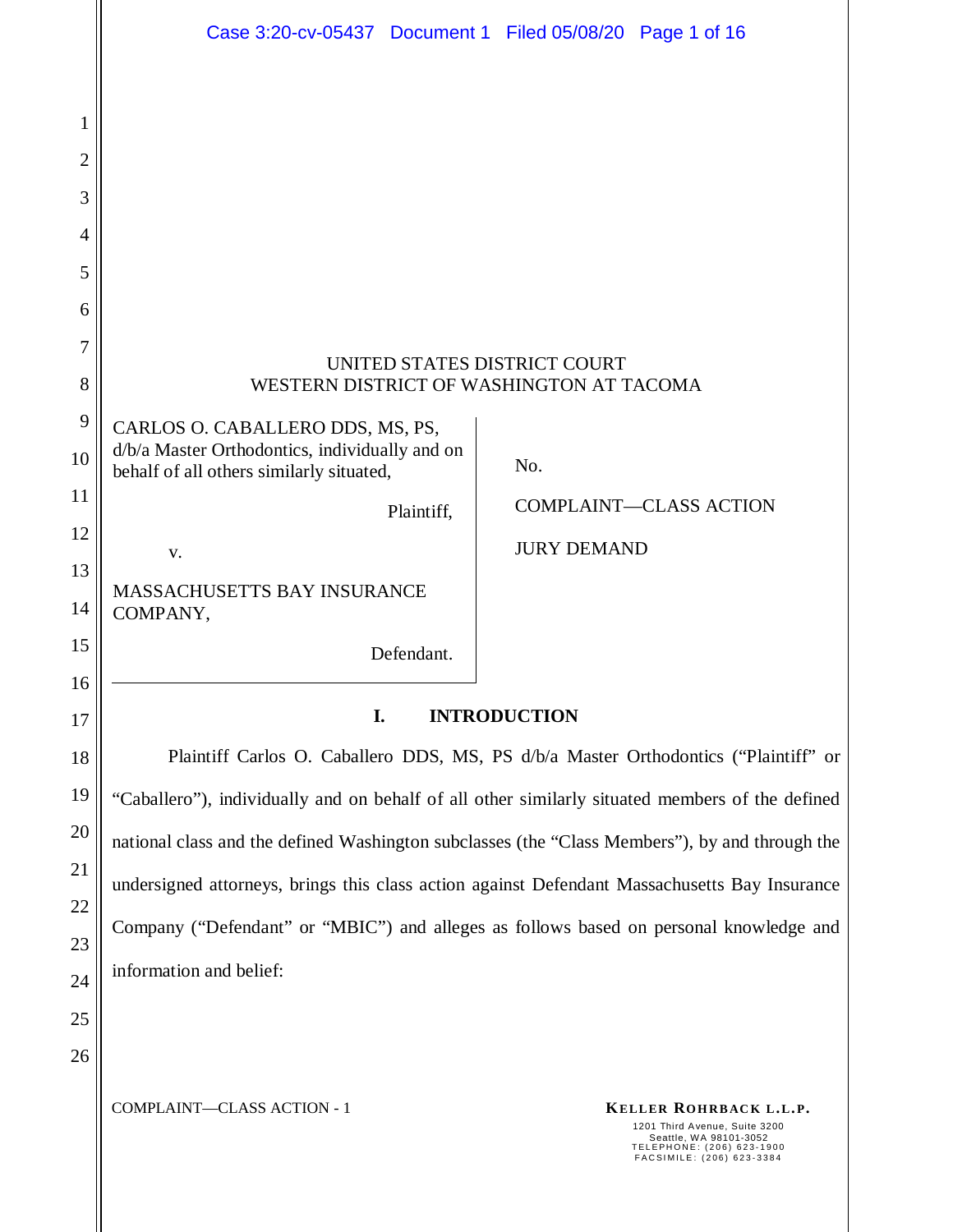|                | Case 3:20-cv-05437 Document 1 Filed 05/08/20 Page 1 of 16                                                                                                                              |                               |                                                                                                                                             |  |  |  |  |
|----------------|----------------------------------------------------------------------------------------------------------------------------------------------------------------------------------------|-------------------------------|---------------------------------------------------------------------------------------------------------------------------------------------|--|--|--|--|
|                |                                                                                                                                                                                        |                               |                                                                                                                                             |  |  |  |  |
| 1              |                                                                                                                                                                                        |                               |                                                                                                                                             |  |  |  |  |
| $\overline{c}$ |                                                                                                                                                                                        |                               |                                                                                                                                             |  |  |  |  |
| 3              |                                                                                                                                                                                        |                               |                                                                                                                                             |  |  |  |  |
| 4              |                                                                                                                                                                                        |                               |                                                                                                                                             |  |  |  |  |
| 5              |                                                                                                                                                                                        |                               |                                                                                                                                             |  |  |  |  |
| 6              |                                                                                                                                                                                        |                               |                                                                                                                                             |  |  |  |  |
| 7              |                                                                                                                                                                                        |                               |                                                                                                                                             |  |  |  |  |
| 8              | UNITED STATES DISTRICT COURT<br>WESTERN DISTRICT OF WASHINGTON AT TACOMA                                                                                                               |                               |                                                                                                                                             |  |  |  |  |
| 9              | CARLOS O. CABALLERO DDS, MS, PS,                                                                                                                                                       |                               |                                                                                                                                             |  |  |  |  |
| 10             | d/b/a Master Orthodontics, individually and on<br>behalf of all others similarly situated,                                                                                             | No.                           |                                                                                                                                             |  |  |  |  |
| 11             | Plaintiff,                                                                                                                                                                             | <b>COMPLAINT-CLASS ACTION</b> |                                                                                                                                             |  |  |  |  |
| 12             | V.                                                                                                                                                                                     | <b>JURY DEMAND</b>            |                                                                                                                                             |  |  |  |  |
| 13             | MASSACHUSETTS BAY INSURANCE                                                                                                                                                            |                               |                                                                                                                                             |  |  |  |  |
| 14             | COMPANY,                                                                                                                                                                               |                               |                                                                                                                                             |  |  |  |  |
| 15             | Defendant.                                                                                                                                                                             |                               |                                                                                                                                             |  |  |  |  |
| 16<br>17       | I.                                                                                                                                                                                     |                               |                                                                                                                                             |  |  |  |  |
| 18             | <b>INTRODUCTION</b>                                                                                                                                                                    |                               |                                                                                                                                             |  |  |  |  |
| 19             | Plaintiff Carlos O. Caballero DDS, MS, PS d/b/a Master Orthodontics ("Plaintiff" or<br>"Caballero"), individually and on behalf of all other similarly situated members of the defined |                               |                                                                                                                                             |  |  |  |  |
| 20             |                                                                                                                                                                                        |                               |                                                                                                                                             |  |  |  |  |
| 21             | national class and the defined Washington subclasses (the "Class Members"), by and through the                                                                                         |                               |                                                                                                                                             |  |  |  |  |
| 22             | undersigned attorneys, brings this class action against Defendant Massachusetts Bay Insurance                                                                                          |                               |                                                                                                                                             |  |  |  |  |
| 23             | Company ("Defendant" or "MBIC") and alleges as follows based on personal knowledge and                                                                                                 |                               |                                                                                                                                             |  |  |  |  |
| 24             | information and belief:                                                                                                                                                                |                               |                                                                                                                                             |  |  |  |  |
| 25             |                                                                                                                                                                                        |                               |                                                                                                                                             |  |  |  |  |
| 26             |                                                                                                                                                                                        |                               |                                                                                                                                             |  |  |  |  |
|                | COMPLAINT-CLASS ACTION - 1                                                                                                                                                             |                               | KELLER ROHRBACK L.L.P.<br>1201 Third Avenue, Suite 3200<br>Seattle, WA 98101-3052<br>TELEPHONE: (206) 623-1900<br>FACSIMILE: (206) 623-3384 |  |  |  |  |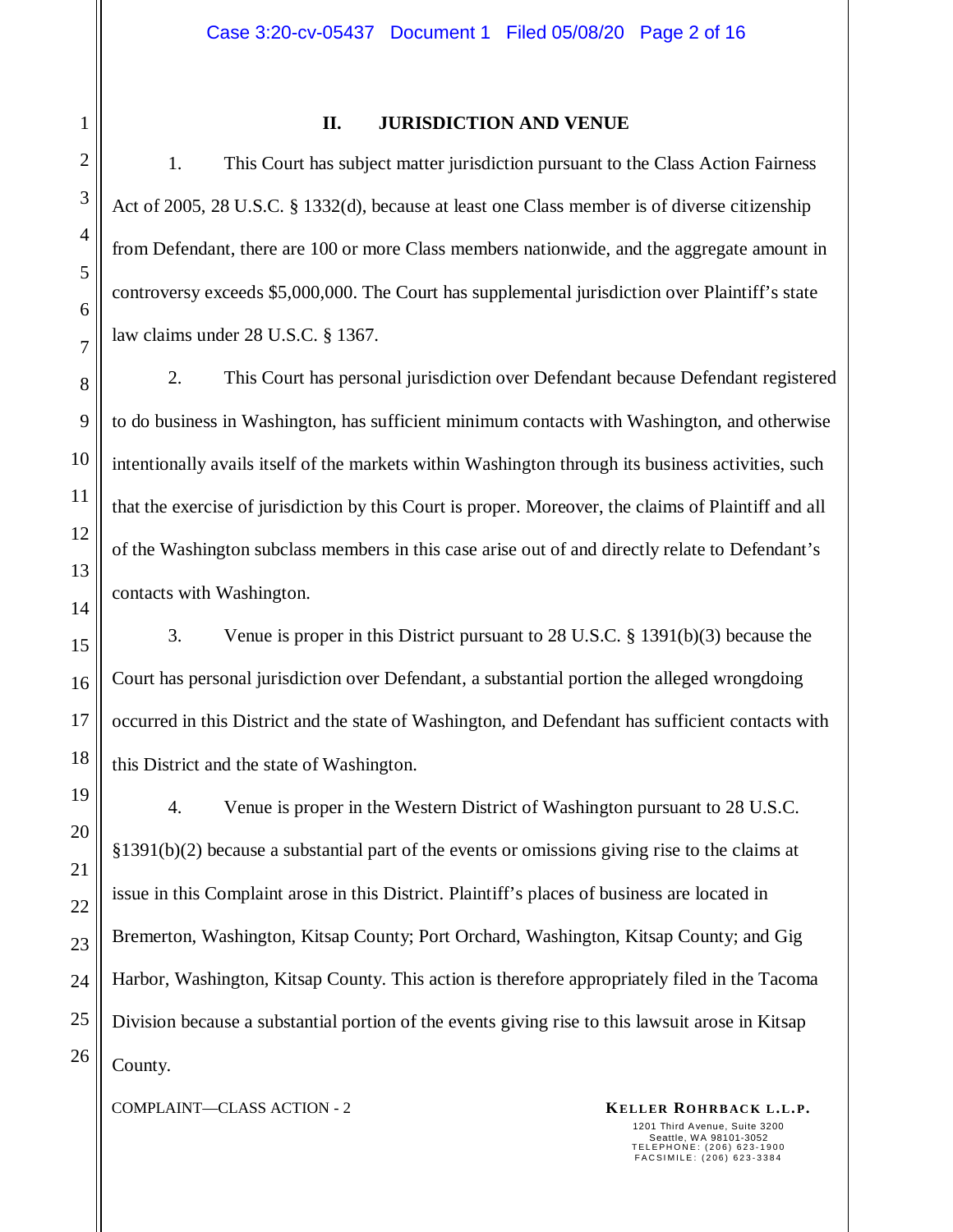#### **II. JURISDICTION AND VENUE**

1. This Court has subject matter jurisdiction pursuant to the Class Action Fairness Act of 2005, 28 U.S.C. § 1332(d), because at least one Class member is of diverse citizenship from Defendant, there are 100 or more Class members nationwide, and the aggregate amount in controversy exceeds \$5,000,000. The Court has supplemental jurisdiction over Plaintiff's state law claims under 28 U.S.C. § 1367.

2. This Court has personal jurisdiction over Defendant because Defendant registered to do business in Washington, has sufficient minimum contacts with Washington, and otherwise intentionally avails itself of the markets within Washington through its business activities, such that the exercise of jurisdiction by this Court is proper. Moreover, the claims of Plaintiff and all of the Washington subclass members in this case arise out of and directly relate to Defendant's contacts with Washington.

3. Venue is proper in this District pursuant to 28 U.S.C. § 1391(b)(3) because the Court has personal jurisdiction over Defendant, a substantial portion the alleged wrongdoing occurred in this District and the state of Washington, and Defendant has sufficient contacts with this District and the state of Washington.

4. Venue is proper in the Western District of Washington pursuant to 28 U.S.C. §1391(b)(2) because a substantial part of the events or omissions giving rise to the claims at issue in this Complaint arose in this District. Plaintiff's places of business are located in Bremerton, Washington, Kitsap County; Port Orchard, Washington, Kitsap County; and Gig Harbor, Washington, Kitsap County. This action is therefore appropriately filed in the Tacoma Division because a substantial portion of the events giving rise to this lawsuit arose in Kitsap County.

**COMPLAINT—CLASS ACTION - 2 KELLER ROHRBACK L.L.P.**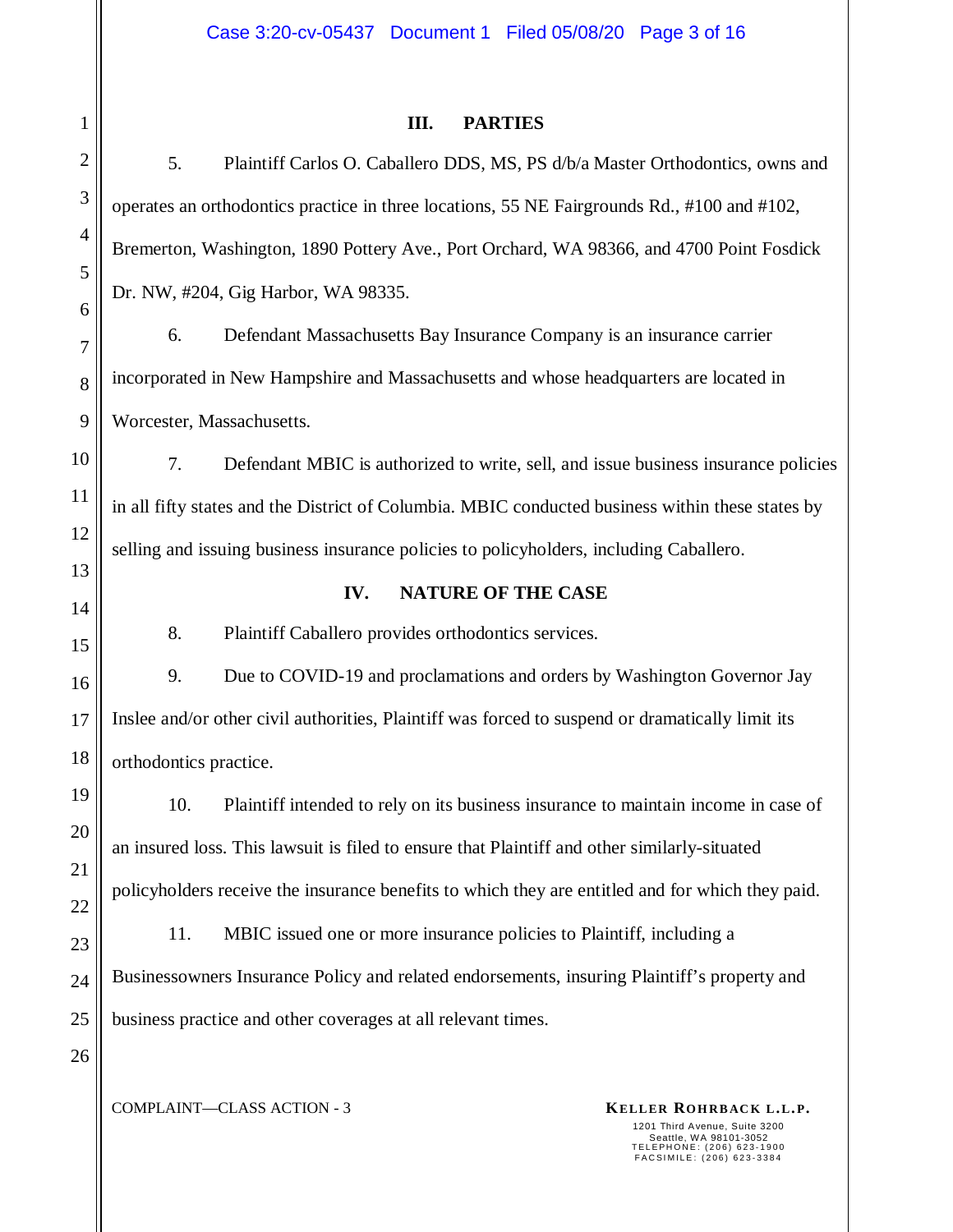# 1 2 3 4 5 6 7 8 9 10 11 12 13 14 15 16 17 18 19 20 21 22 23 24 25 26

#### **III. PARTIES**

5. Plaintiff Carlos O. Caballero DDS, MS, PS d/b/a Master Orthodontics, owns and operates an orthodontics practice in three locations, 55 NE Fairgrounds Rd., #100 and #102, Bremerton, Washington, 1890 Pottery Ave., Port Orchard, WA 98366, and 4700 Point Fosdick Dr. NW, #204, Gig Harbor, WA 98335.

6. Defendant Massachusetts Bay Insurance Company is an insurance carrier incorporated in New Hampshire and Massachusetts and whose headquarters are located in Worcester, Massachusetts.

7. Defendant MBIC is authorized to write, sell, and issue business insurance policies in all fifty states and the District of Columbia. MBIC conducted business within these states by selling and issuing business insurance policies to policyholders, including Caballero.

#### **IV. NATURE OF THE CASE**

8. Plaintiff Caballero provides orthodontics services.

9. Due to COVID-19 and proclamations and orders by Washington Governor Jay Inslee and/or other civil authorities, Plaintiff was forced to suspend or dramatically limit its orthodontics practice.

10. Plaintiff intended to rely on its business insurance to maintain income in case of an insured loss. This lawsuit is filed to ensure that Plaintiff and other similarly-situated policyholders receive the insurance benefits to which they are entitled and for which they paid.

11. MBIC issued one or more insurance policies to Plaintiff, including a Businessowners Insurance Policy and related endorsements, insuring Plaintiff's property and business practice and other coverages at all relevant times.

**COMPLAINT—CLASS ACTION - 3 KELLER ROHRBACK L.L.P.**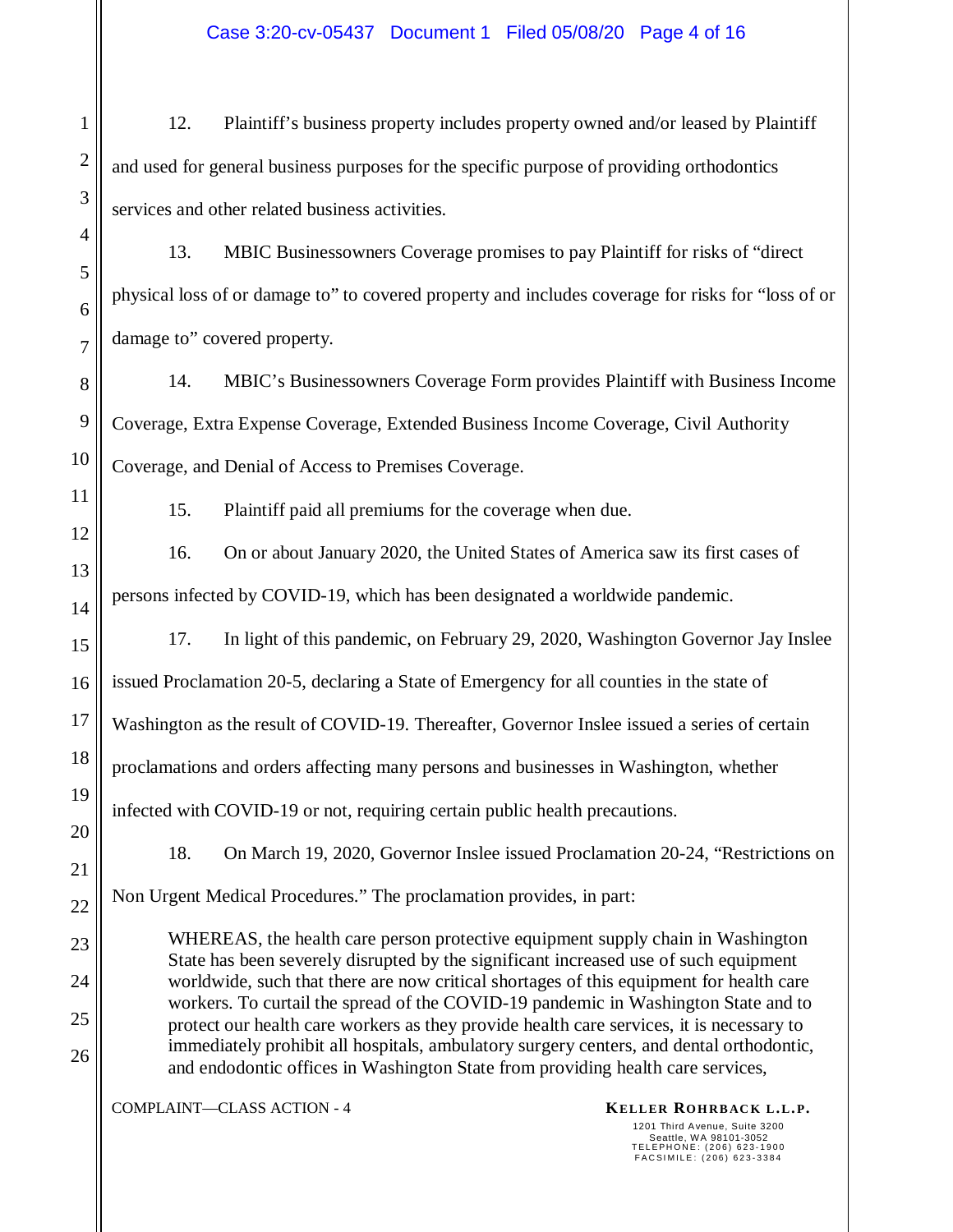12. Plaintiff's business property includes property owned and/or leased by Plaintiff and used for general business purposes for the specific purpose of providing orthodontics services and other related business activities.

13. MBIC Businessowners Coverage promises to pay Plaintiff for risks of "direct physical loss of or damage to" to covered property and includes coverage for risks for "loss of or damage to" covered property.

14. MBIC's Businessowners Coverage Form provides Plaintiff with Business Income Coverage, Extra Expense Coverage, Extended Business Income Coverage, Civil Authority Coverage, and Denial of Access to Premises Coverage.

15. Plaintiff paid all premiums for the coverage when due.

16. On or about January 2020, the United States of America saw its first cases of persons infected by COVID-19, which has been designated a worldwide pandemic.

17. In light of this pandemic, on February 29, 2020, Washington Governor Jay Inslee issued Proclamation 20-5, declaring a State of Emergency for all counties in the state of Washington as the result of COVID-19. Thereafter, Governor Inslee issued a series of certain proclamations and orders affecting many persons and businesses in Washington, whether infected with COVID-19 or not, requiring certain public health precautions.

18. On March 19, 2020, Governor Inslee issued Proclamation 20-24, "Restrictions on Non Urgent Medical Procedures." The proclamation provides, in part:

WHEREAS, the health care person protective equipment supply chain in Washington State has been severely disrupted by the significant increased use of such equipment worldwide, such that there are now critical shortages of this equipment for health care workers. To curtail the spread of the COVID-19 pandemic in Washington State and to protect our health care workers as they provide health care services, it is necessary to immediately prohibit all hospitals, ambulatory surgery centers, and dental orthodontic, and endodontic offices in Washington State from providing health care services,

**COMPLAINT—CLASS ACTION - 4 KELLER ROHRBACK L.L.P.**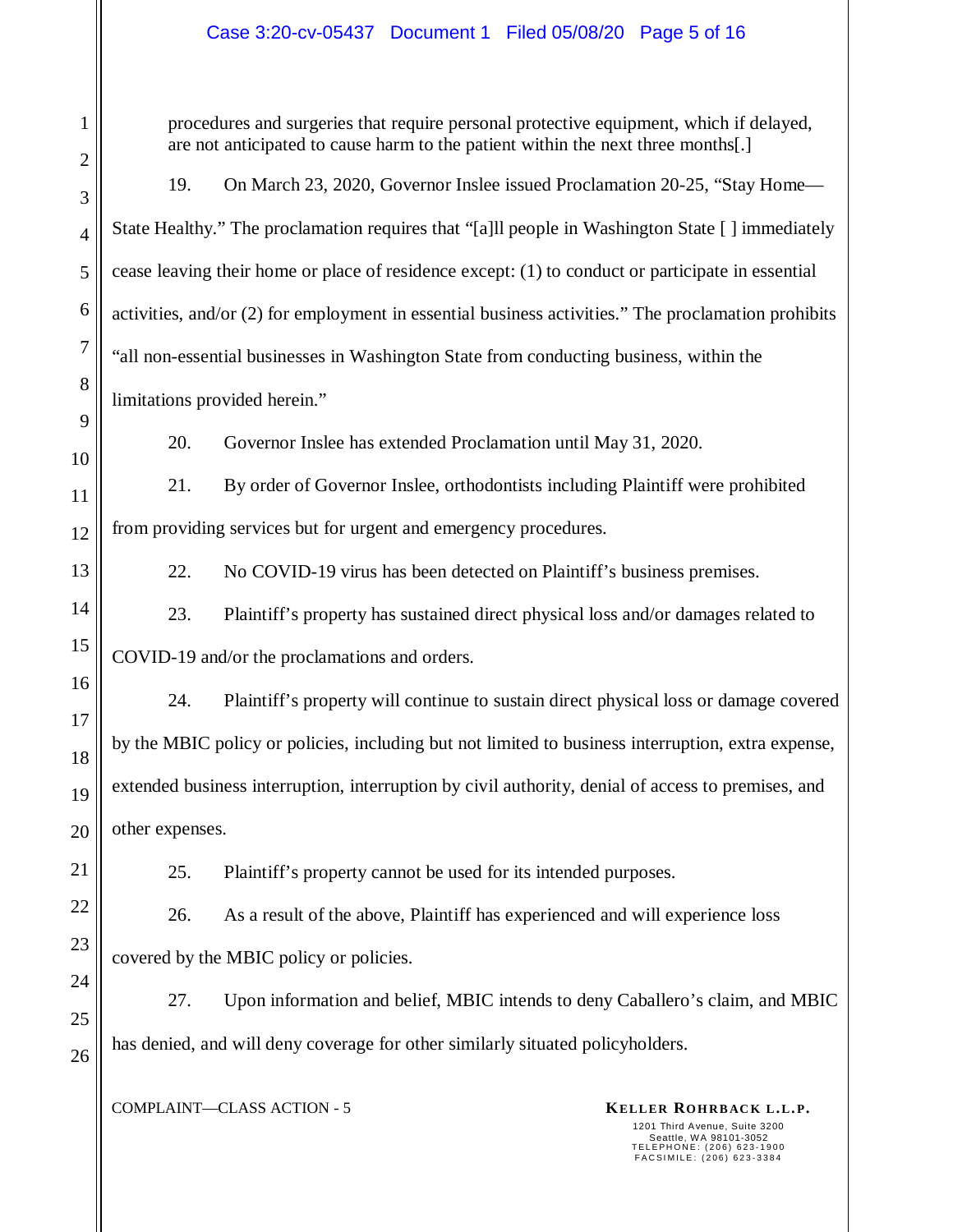#### Case 3:20-cv-05437 Document 1 Filed 05/08/20 Page 5 of 16

procedures and surgeries that require personal protective equipment, which if delayed, are not anticipated to cause harm to the patient within the next three months[.]

19. On March 23, 2020, Governor Inslee issued Proclamation 20-25, "Stay Home— State Healthy." The proclamation requires that "[a]ll people in Washington State [ ] immediately cease leaving their home or place of residence except: (1) to conduct or participate in essential activities, and/or (2) for employment in essential business activities." The proclamation prohibits "all non-essential businesses in Washington State from conducting business, within the limitations provided herein."

20. Governor Inslee has extended Proclamation until May 31, 2020.

21. By order of Governor Inslee, orthodontists including Plaintiff were prohibited from providing services but for urgent and emergency procedures.

22. No COVID-19 virus has been detected on Plaintiff's business premises.

23. Plaintiff's property has sustained direct physical loss and/or damages related to COVID-19 and/or the proclamations and orders.

24. Plaintiff's property will continue to sustain direct physical loss or damage covered by the MBIC policy or policies, including but not limited to business interruption, extra expense, extended business interruption, interruption by civil authority, denial of access to premises, and other expenses.

25. Plaintiff's property cannot be used for its intended purposes.

26. As a result of the above, Plaintiff has experienced and will experience loss covered by the MBIC policy or policies.

27. Upon information and belief, MBIC intends to deny Caballero's claim, and MBIC has denied, and will deny coverage for other similarly situated policyholders.

**COMPLAINT—CLASS ACTION - 5 KELLER ROHRBACK L.L.P.** 

1

2

3

4

5

6

7

8

9

10

11

12

13

14

15

16

17

18

19

20

21

22

23

24

25

26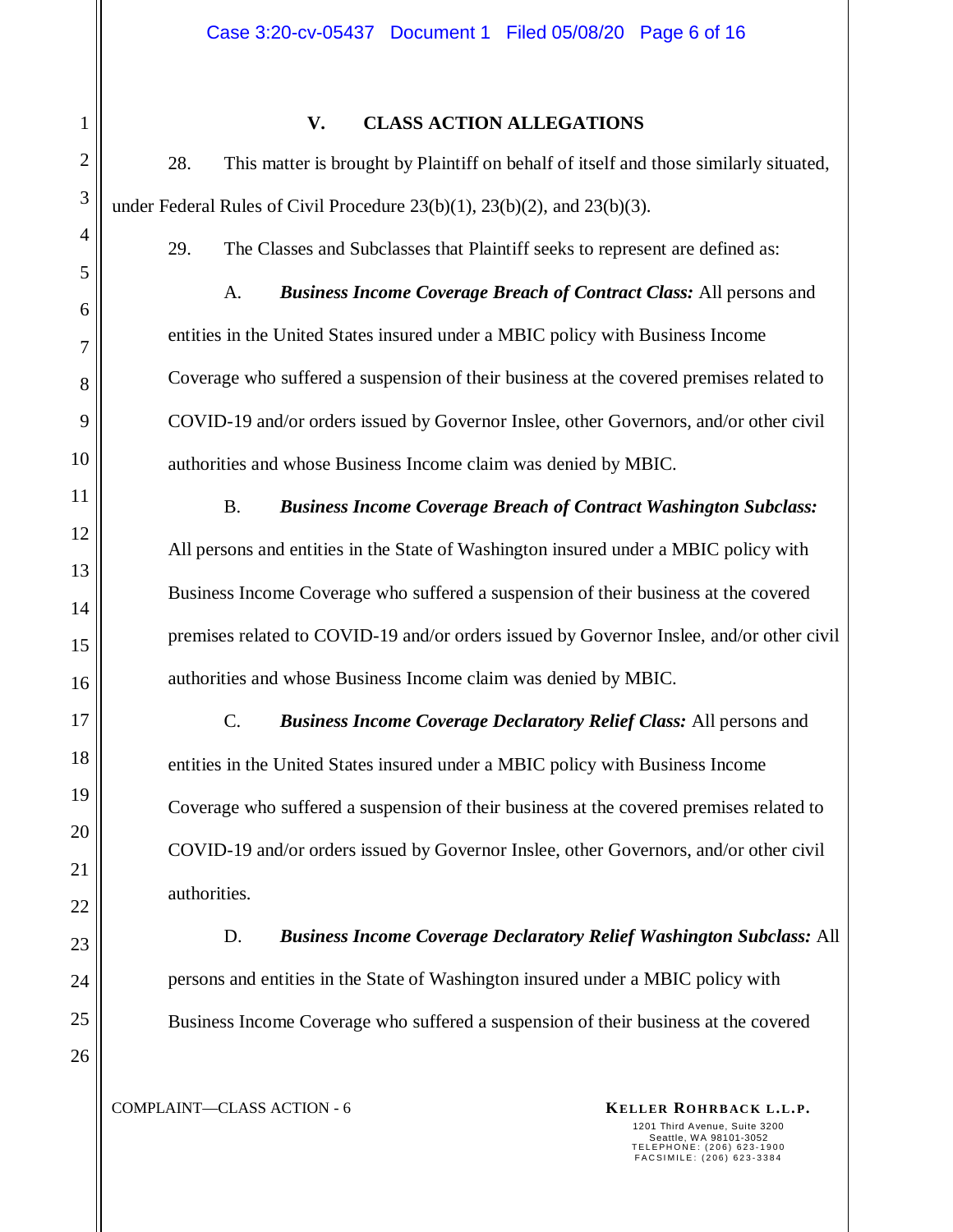#### **V. CLASS ACTION ALLEGATIONS**

28. This matter is brought by Plaintiff on behalf of itself and those similarly situated, under Federal Rules of Civil Procedure 23(b)(1), 23(b)(2), and 23(b)(3).

29. The Classes and Subclasses that Plaintiff seeks to represent are defined as:

A. *Business Income Coverage Breach of Contract Class:* All persons and entities in the United States insured under a MBIC policy with Business Income Coverage who suffered a suspension of their business at the covered premises related to COVID-19 and/or orders issued by Governor Inslee, other Governors, and/or other civil authorities and whose Business Income claim was denied by MBIC.

B. *Business Income Coverage Breach of Contract Washington Subclass:* All persons and entities in the State of Washington insured under a MBIC policy with Business Income Coverage who suffered a suspension of their business at the covered premises related to COVID-19 and/or orders issued by Governor Inslee, and/or other civil authorities and whose Business Income claim was denied by MBIC.

C. *Business Income Coverage Declaratory Relief Class:* All persons and entities in the United States insured under a MBIC policy with Business Income Coverage who suffered a suspension of their business at the covered premises related to COVID-19 and/or orders issued by Governor Inslee, other Governors, and/or other civil authorities.

D. *Business Income Coverage Declaratory Relief Washington Subclass:* All persons and entities in the State of Washington insured under a MBIC policy with Business Income Coverage who suffered a suspension of their business at the covered

**COMPLAINT—CLASS ACTION - 6 KELLER ROHRBACK L.L.P.**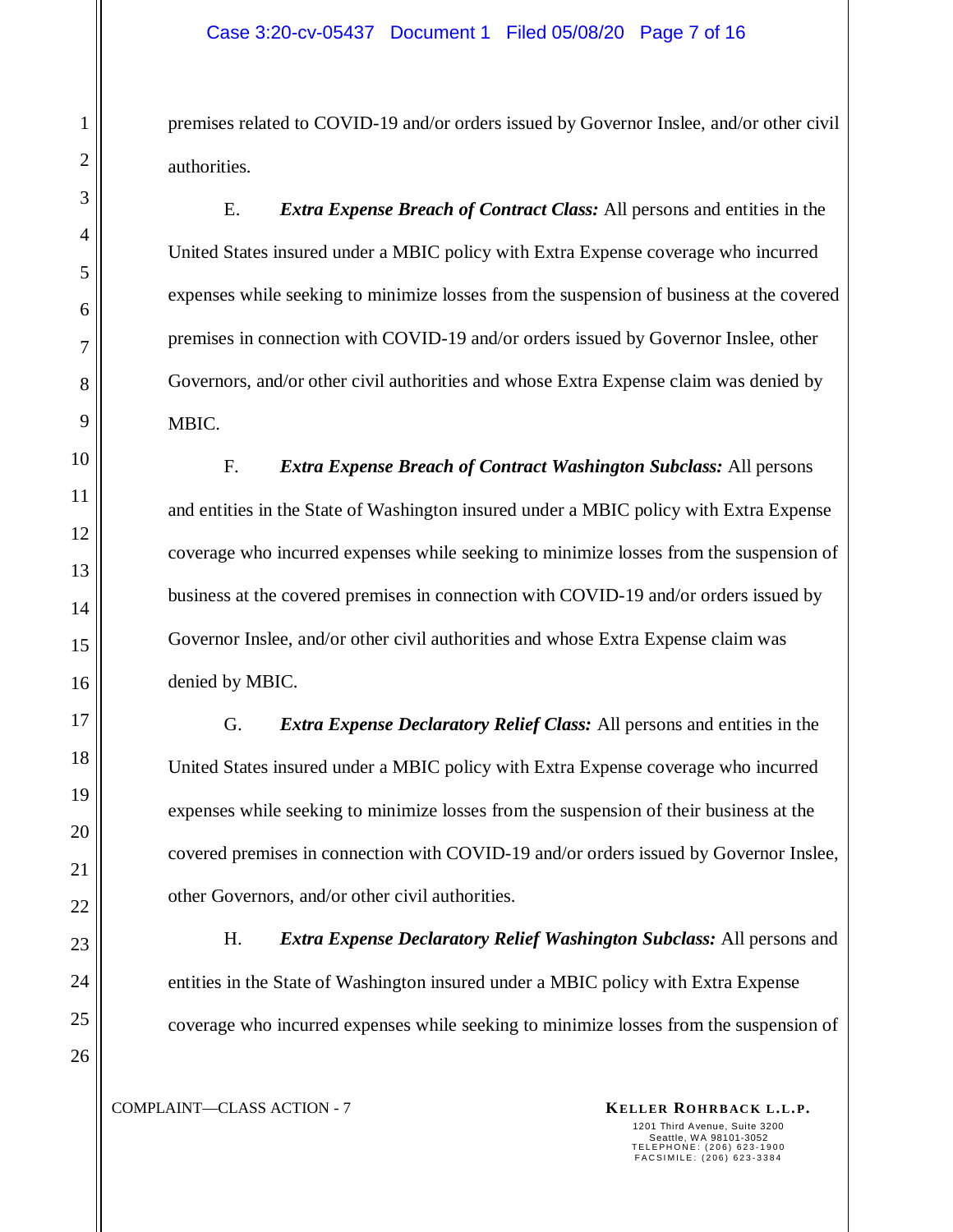premises related to COVID-19 and/or orders issued by Governor Inslee, and/or other civil authorities.

E. *Extra Expense Breach of Contract Class:* All persons and entities in the United States insured under a MBIC policy with Extra Expense coverage who incurred expenses while seeking to minimize losses from the suspension of business at the covered premises in connection with COVID-19 and/or orders issued by Governor Inslee, other Governors, and/or other civil authorities and whose Extra Expense claim was denied by MBIC.

F. *Extra Expense Breach of Contract Washington Subclass:* All persons and entities in the State of Washington insured under a MBIC policy with Extra Expense coverage who incurred expenses while seeking to minimize losses from the suspension of business at the covered premises in connection with COVID-19 and/or orders issued by Governor Inslee, and/or other civil authorities and whose Extra Expense claim was denied by MBIC.

G. *Extra Expense Declaratory Relief Class:* All persons and entities in the United States insured under a MBIC policy with Extra Expense coverage who incurred expenses while seeking to minimize losses from the suspension of their business at the covered premises in connection with COVID-19 and/or orders issued by Governor Inslee, other Governors, and/or other civil authorities.

H. *Extra Expense Declaratory Relief Washington Subclass:* All persons and entities in the State of Washington insured under a MBIC policy with Extra Expense coverage who incurred expenses while seeking to minimize losses from the suspension of

**COMPLAINT—CLASS ACTION - 7 KELLER ROHRBACK L.L.P.**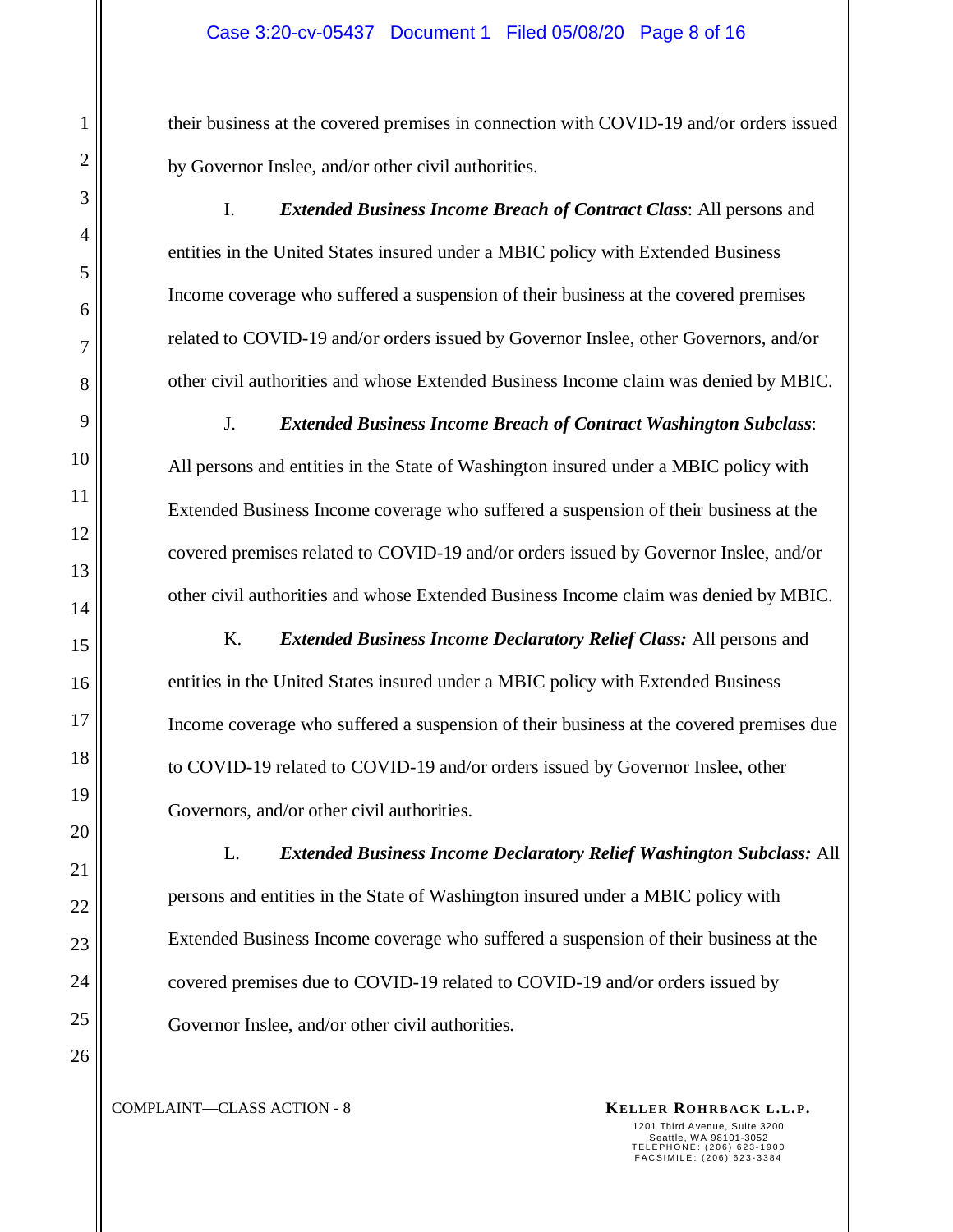their business at the covered premises in connection with COVID-19 and/or orders issued by Governor Inslee, and/or other civil authorities.

I. *Extended Business Income Breach of Contract Class*: All persons and entities in the United States insured under a MBIC policy with Extended Business Income coverage who suffered a suspension of their business at the covered premises related to COVID-19 and/or orders issued by Governor Inslee, other Governors, and/or other civil authorities and whose Extended Business Income claim was denied by MBIC.

J. *Extended Business Income Breach of Contract Washington Subclass*: All persons and entities in the State of Washington insured under a MBIC policy with Extended Business Income coverage who suffered a suspension of their business at the covered premises related to COVID-19 and/or orders issued by Governor Inslee, and/or other civil authorities and whose Extended Business Income claim was denied by MBIC.

K. *Extended Business Income Declaratory Relief Class:* All persons and entities in the United States insured under a MBIC policy with Extended Business Income coverage who suffered a suspension of their business at the covered premises due to COVID-19 related to COVID-19 and/or orders issued by Governor Inslee, other Governors, and/or other civil authorities.

L. *Extended Business Income Declaratory Relief Washington Subclass:* All persons and entities in the State of Washington insured under a MBIC policy with Extended Business Income coverage who suffered a suspension of their business at the covered premises due to COVID-19 related to COVID-19 and/or orders issued by Governor Inslee, and/or other civil authorities.

**COMPLAINT—CLASS ACTION - 8 KELLER ROHRBACK L.L.P.**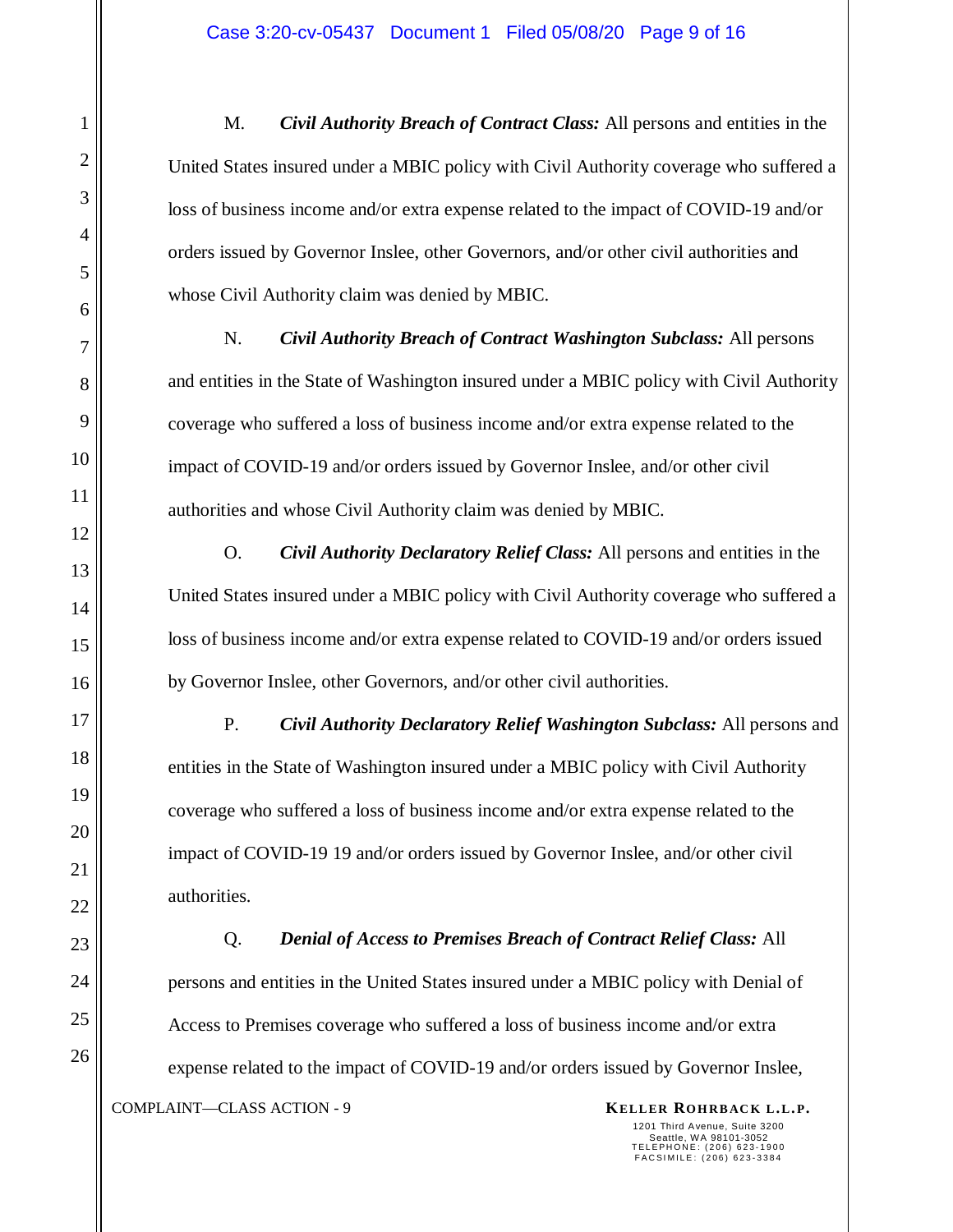M. *Civil Authority Breach of Contract Class:* All persons and entities in the United States insured under a MBIC policy with Civil Authority coverage who suffered a loss of business income and/or extra expense related to the impact of COVID-19 and/or orders issued by Governor Inslee, other Governors, and/or other civil authorities and whose Civil Authority claim was denied by MBIC.

N. *Civil Authority Breach of Contract Washington Subclass:* All persons and entities in the State of Washington insured under a MBIC policy with Civil Authority coverage who suffered a loss of business income and/or extra expense related to the impact of COVID-19 and/or orders issued by Governor Inslee, and/or other civil authorities and whose Civil Authority claim was denied by MBIC.

O. *Civil Authority Declaratory Relief Class:* All persons and entities in the United States insured under a MBIC policy with Civil Authority coverage who suffered a loss of business income and/or extra expense related to COVID-19 and/or orders issued by Governor Inslee, other Governors, and/or other civil authorities.

P. *Civil Authority Declaratory Relief Washington Subclass:* All persons and entities in the State of Washington insured under a MBIC policy with Civil Authority coverage who suffered a loss of business income and/or extra expense related to the impact of COVID-19 19 and/or orders issued by Governor Inslee, and/or other civil authorities.

**COMPLAINT—CLASS ACTION - 9 KELLER ROHRBACK L.L.P.** Q. *Denial of Access to Premises Breach of Contract Relief Class:* All persons and entities in the United States insured under a MBIC policy with Denial of Access to Premises coverage who suffered a loss of business income and/or extra expense related to the impact of COVID-19 and/or orders issued by Governor Inslee,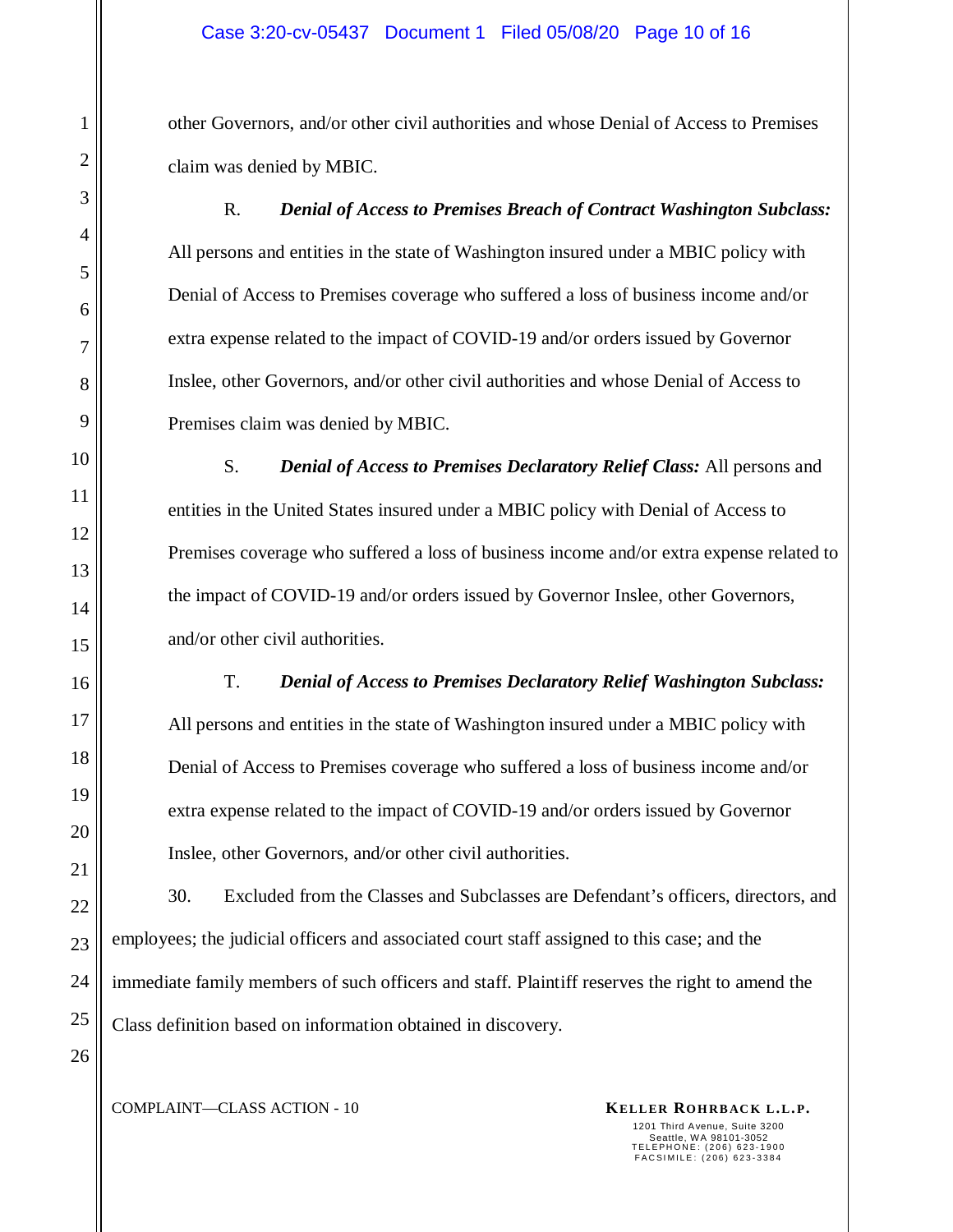other Governors, and/or other civil authorities and whose Denial of Access to Premises claim was denied by MBIC.

R. *Denial of Access to Premises Breach of Contract Washington Subclass:*  All persons and entities in the state of Washington insured under a MBIC policy with Denial of Access to Premises coverage who suffered a loss of business income and/or extra expense related to the impact of COVID-19 and/or orders issued by Governor Inslee, other Governors, and/or other civil authorities and whose Denial of Access to Premises claim was denied by MBIC.

S. *Denial of Access to Premises Declaratory Relief Class:* All persons and entities in the United States insured under a MBIC policy with Denial of Access to Premises coverage who suffered a loss of business income and/or extra expense related to the impact of COVID-19 and/or orders issued by Governor Inslee, other Governors, and/or other civil authorities.

T. *Denial of Access to Premises Declaratory Relief Washington Subclass:* All persons and entities in the state of Washington insured under a MBIC policy with Denial of Access to Premises coverage who suffered a loss of business income and/or extra expense related to the impact of COVID-19 and/or orders issued by Governor Inslee, other Governors, and/or other civil authorities.

30. Excluded from the Classes and Subclasses are Defendant's officers, directors, and employees; the judicial officers and associated court staff assigned to this case; and the immediate family members of such officers and staff. Plaintiff reserves the right to amend the Class definition based on information obtained in discovery.

**COMPLAINT—CLASS ACTION - 10 KELLER ROHRBACK L.L.P.**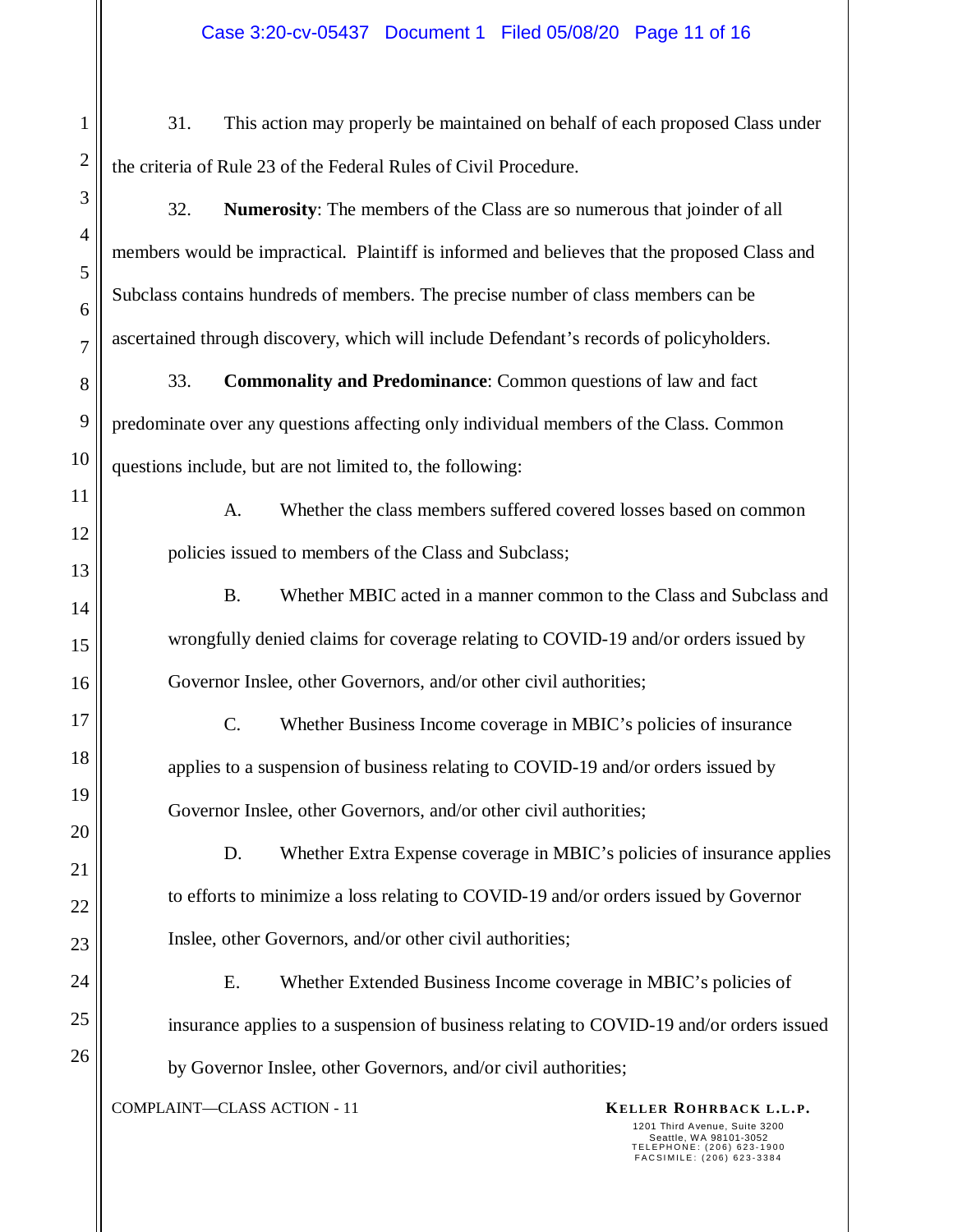31. This action may properly be maintained on behalf of each proposed Class under the criteria of Rule 23 of the Federal Rules of Civil Procedure.

32. **Numerosity**: The members of the Class are so numerous that joinder of all members would be impractical. Plaintiff is informed and believes that the proposed Class and Subclass contains hundreds of members. The precise number of class members can be ascertained through discovery, which will include Defendant's records of policyholders.

33. **Commonality and Predominance**: Common questions of law and fact predominate over any questions affecting only individual members of the Class. Common questions include, but are not limited to, the following:

A. Whether the class members suffered covered losses based on common policies issued to members of the Class and Subclass;

B. Whether MBIC acted in a manner common to the Class and Subclass and wrongfully denied claims for coverage relating to COVID-19 and/or orders issued by Governor Inslee, other Governors, and/or other civil authorities;

C. Whether Business Income coverage in MBIC's policies of insurance applies to a suspension of business relating to COVID-19 and/or orders issued by Governor Inslee, other Governors, and/or other civil authorities;

D. Whether Extra Expense coverage in MBIC's policies of insurance applies to efforts to minimize a loss relating to COVID-19 and/or orders issued by Governor Inslee, other Governors, and/or other civil authorities;

E. Whether Extended Business Income coverage in MBIC's policies of insurance applies to a suspension of business relating to COVID-19 and/or orders issued by Governor Inslee, other Governors, and/or civil authorities;

**COMPLAINT—CLASS ACTION - 11 KELLER ROHRBACK L.L.P.** 

1

2

3

4

5

6

7

8

9

10

11

12

13

14

15

16

17

18

19

20

21

22

23

24

25

26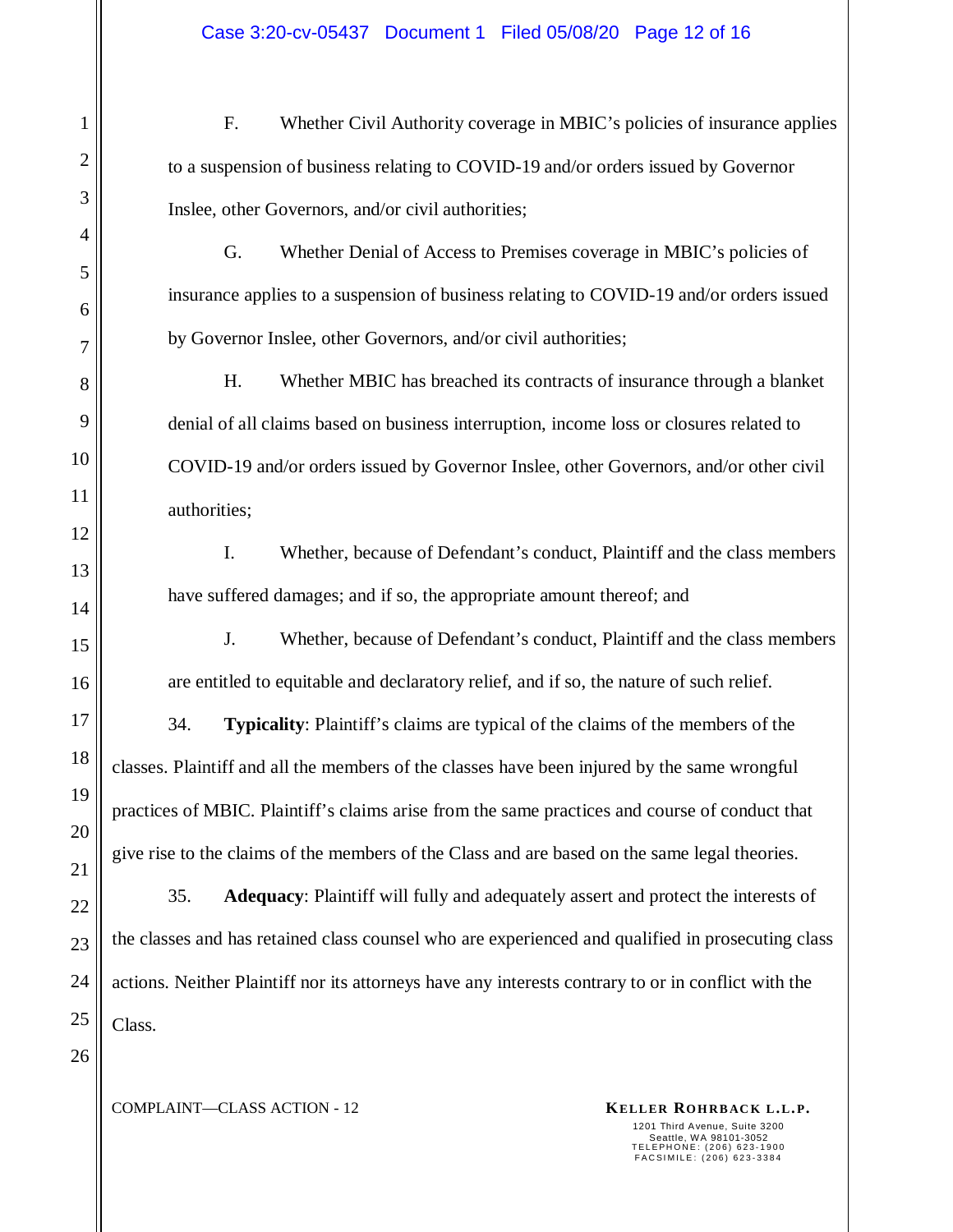F. Whether Civil Authority coverage in MBIC's policies of insurance applies to a suspension of business relating to COVID-19 and/or orders issued by Governor Inslee, other Governors, and/or civil authorities;

G. Whether Denial of Access to Premises coverage in MBIC's policies of insurance applies to a suspension of business relating to COVID-19 and/or orders issued by Governor Inslee, other Governors, and/or civil authorities;

H. Whether MBIC has breached its contracts of insurance through a blanket denial of all claims based on business interruption, income loss or closures related to COVID-19 and/or orders issued by Governor Inslee, other Governors, and/or other civil authorities;

I. Whether, because of Defendant's conduct, Plaintiff and the class members have suffered damages; and if so, the appropriate amount thereof; and

J. Whether, because of Defendant's conduct, Plaintiff and the class members are entitled to equitable and declaratory relief, and if so, the nature of such relief.

34. **Typicality**: Plaintiff's claims are typical of the claims of the members of the classes. Plaintiff and all the members of the classes have been injured by the same wrongful practices of MBIC. Plaintiff's claims arise from the same practices and course of conduct that give rise to the claims of the members of the Class and are based on the same legal theories.

35. **Adequacy**: Plaintiff will fully and adequately assert and protect the interests of the classes and has retained class counsel who are experienced and qualified in prosecuting class actions. Neither Plaintiff nor its attorneys have any interests contrary to or in conflict with the Class.

**COMPLAINT—CLASS ACTION - 12 KELLER ROHRBACK L.L.P.**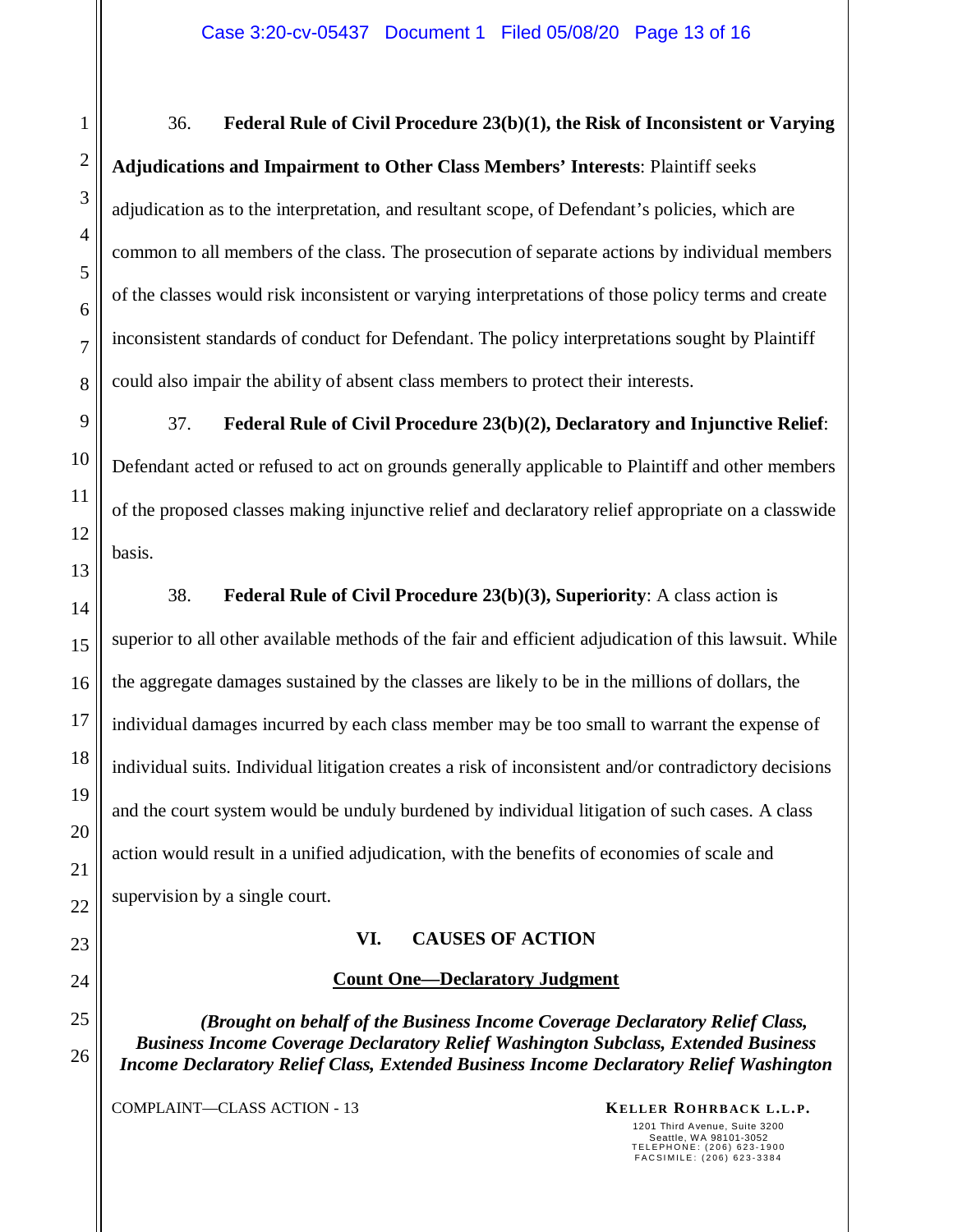36. **Federal Rule of Civil Procedure 23(b)(1), the Risk of Inconsistent or Varying Adjudications and Impairment to Other Class Members' Interests**: Plaintiff seeks adjudication as to the interpretation, and resultant scope, of Defendant's policies, which are common to all members of the class. The prosecution of separate actions by individual members of the classes would risk inconsistent or varying interpretations of those policy terms and create inconsistent standards of conduct for Defendant. The policy interpretations sought by Plaintiff could also impair the ability of absent class members to protect their interests.

37. **Federal Rule of Civil Procedure 23(b)(2), Declaratory and Injunctive Relief**: Defendant acted or refused to act on grounds generally applicable to Plaintiff and other members of the proposed classes making injunctive relief and declaratory relief appropriate on a classwide basis.

38. **Federal Rule of Civil Procedure 23(b)(3), Superiority**: A class action is superior to all other available methods of the fair and efficient adjudication of this lawsuit. While the aggregate damages sustained by the classes are likely to be in the millions of dollars, the individual damages incurred by each class member may be too small to warrant the expense of individual suits. Individual litigation creates a risk of inconsistent and/or contradictory decisions and the court system would be unduly burdened by individual litigation of such cases. A class action would result in a unified adjudication, with the benefits of economies of scale and supervision by a single court.

#### **VI. CAUSES OF ACTION**

#### **Count One—Declaratory Judgment**

*(Brought on behalf of the Business Income Coverage Declaratory Relief Class, Business Income Coverage Declaratory Relief Washington Subclass, Extended Business Income Declaratory Relief Class, Extended Business Income Declaratory Relief Washington* 

**COMPLAINT—CLASS ACTION - 13 KELLER ROHRBACK L.L.P.**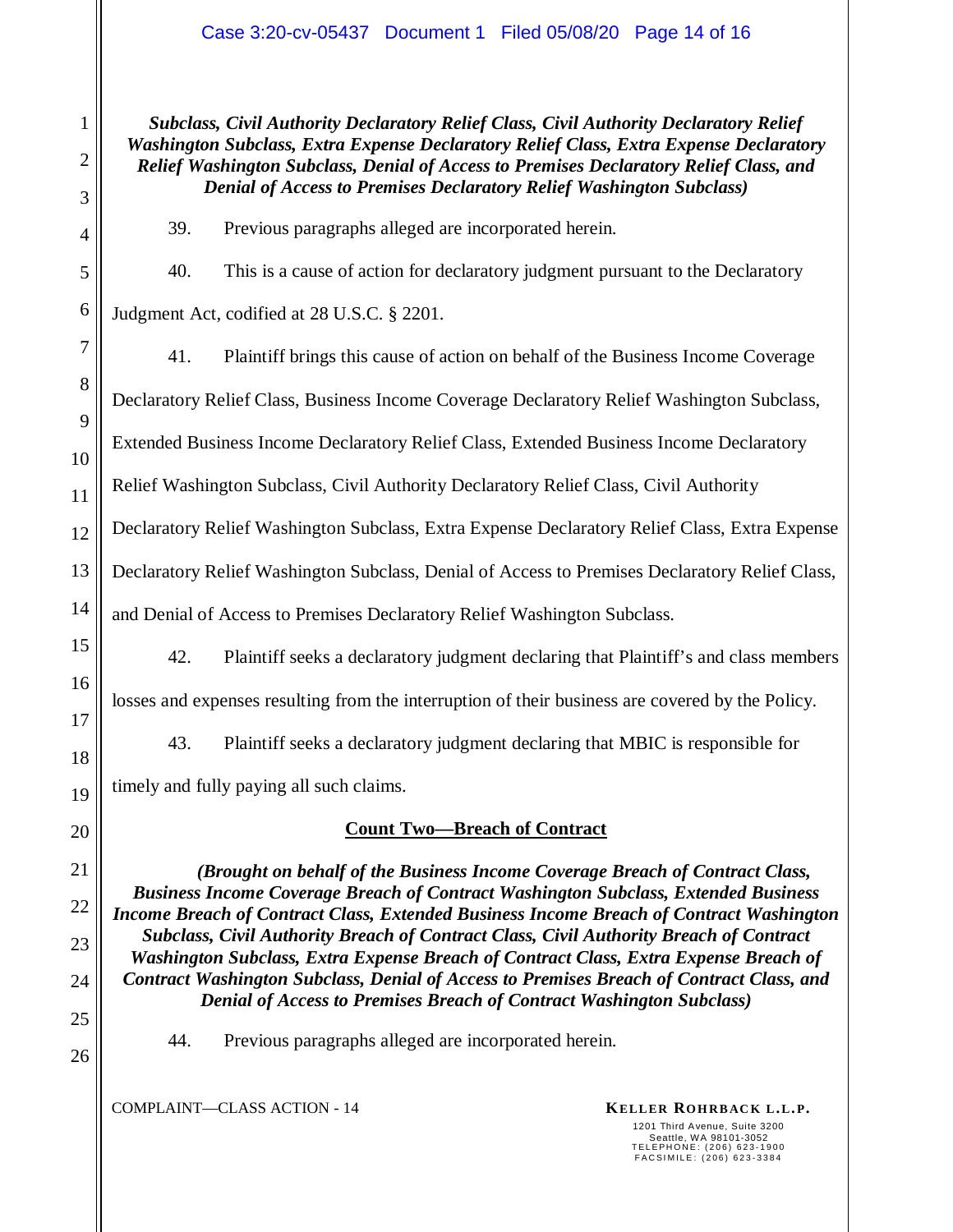### *Subclass, Civil Authority Declaratory Relief Class, Civil Authority Declaratory Relief Washington Subclass, Extra Expense Declaratory Relief Class, Extra Expense Declaratory Relief Washington Subclass, Denial of Access to Premises Declaratory Relief Class, and Denial of Access to Premises Declaratory Relief Washington Subclass)*

39. Previous paragraphs alleged are incorporated herein.

40. This is a cause of action for declaratory judgment pursuant to the Declaratory

Judgment Act, codified at 28 U.S.C. § 2201.

41. Plaintiff brings this cause of action on behalf of the Business Income Coverage Declaratory Relief Class, Business Income Coverage Declaratory Relief Washington Subclass, Extended Business Income Declaratory Relief Class, Extended Business Income Declaratory Relief Washington Subclass, Civil Authority Declaratory Relief Class, Civil Authority Declaratory Relief Washington Subclass, Extra Expense Declaratory Relief Class, Extra Expense

Declaratory Relief Washington Subclass, Denial of Access to Premises Declaratory Relief Class,

and Denial of Access to Premises Declaratory Relief Washington Subclass.

42. Plaintiff seeks a declaratory judgment declaring that Plaintiff's and class members

losses and expenses resulting from the interruption of their business are covered by the Policy.

43. Plaintiff seeks a declaratory judgment declaring that MBIC is responsible for

timely and fully paying all such claims.

## **Count Two—Breach of Contract**

*(Brought on behalf of the Business Income Coverage Breach of Contract Class, Business Income Coverage Breach of Contract Washington Subclass, Extended Business Income Breach of Contract Class, Extended Business Income Breach of Contract Washington Subclass, Civil Authority Breach of Contract Class, Civil Authority Breach of Contract Washington Subclass, Extra Expense Breach of Contract Class, Extra Expense Breach of Contract Washington Subclass, Denial of Access to Premises Breach of Contract Class, and Denial of Access to Premises Breach of Contract Washington Subclass)* 

44. Previous paragraphs alleged are incorporated herein.

**COMPLAINT—CLASS ACTION - 14 KELLER ROHRBACK L.L.P.**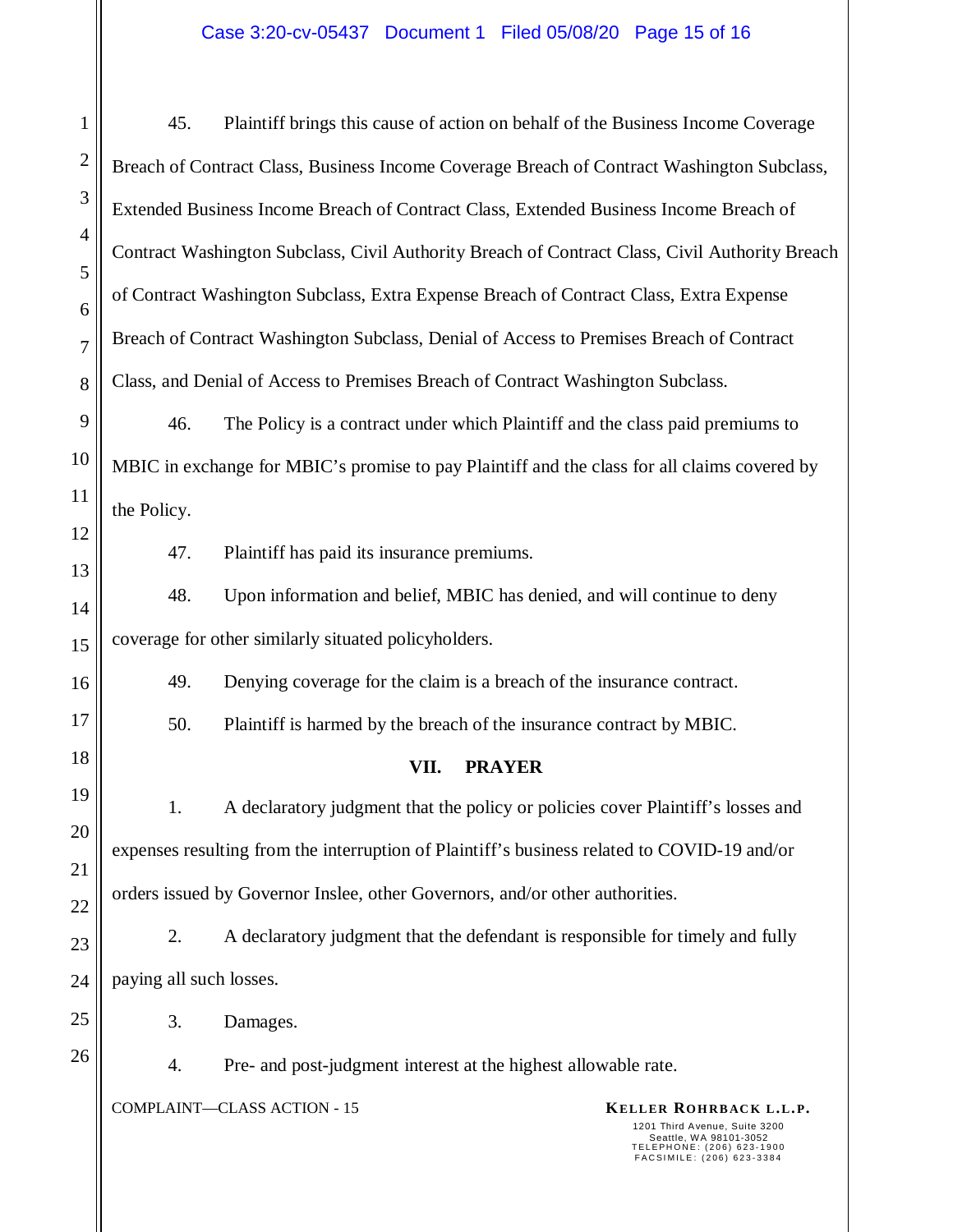#### Case 3:20-cv-05437 Document 1 Filed 05/08/20 Page 15 of 16

45. Plaintiff brings this cause of action on behalf of the Business Income Coverage Breach of Contract Class, Business Income Coverage Breach of Contract Washington Subclass, Extended Business Income Breach of Contract Class, Extended Business Income Breach of Contract Washington Subclass, Civil Authority Breach of Contract Class, Civil Authority Breach of Contract Washington Subclass, Extra Expense Breach of Contract Class, Extra Expense Breach of Contract Washington Subclass, Denial of Access to Premises Breach of Contract Class, and Denial of Access to Premises Breach of Contract Washington Subclass.

46. The Policy is a contract under which Plaintiff and the class paid premiums to MBIC in exchange for MBIC's promise to pay Plaintiff and the class for all claims covered by the Policy.

47. Plaintiff has paid its insurance premiums.

48. Upon information and belief, MBIC has denied, and will continue to deny coverage for other similarly situated policyholders.

49. Denying coverage for the claim is a breach of the insurance contract.

50. Plaintiff is harmed by the breach of the insurance contract by MBIC.

#### **VII. PRAYER**

1. A declaratory judgment that the policy or policies cover Plaintiff's losses and expenses resulting from the interruption of Plaintiff's business related to COVID-19 and/or orders issued by Governor Inslee, other Governors, and/or other authorities.

2. A declaratory judgment that the defendant is responsible for timely and fully paying all such losses.

3. Damages.

4. Pre- and post-judgment interest at the highest allowable rate.

**COMPLAINT—CLASS ACTION - 15 KELLER ROHRBACK L.L.P.**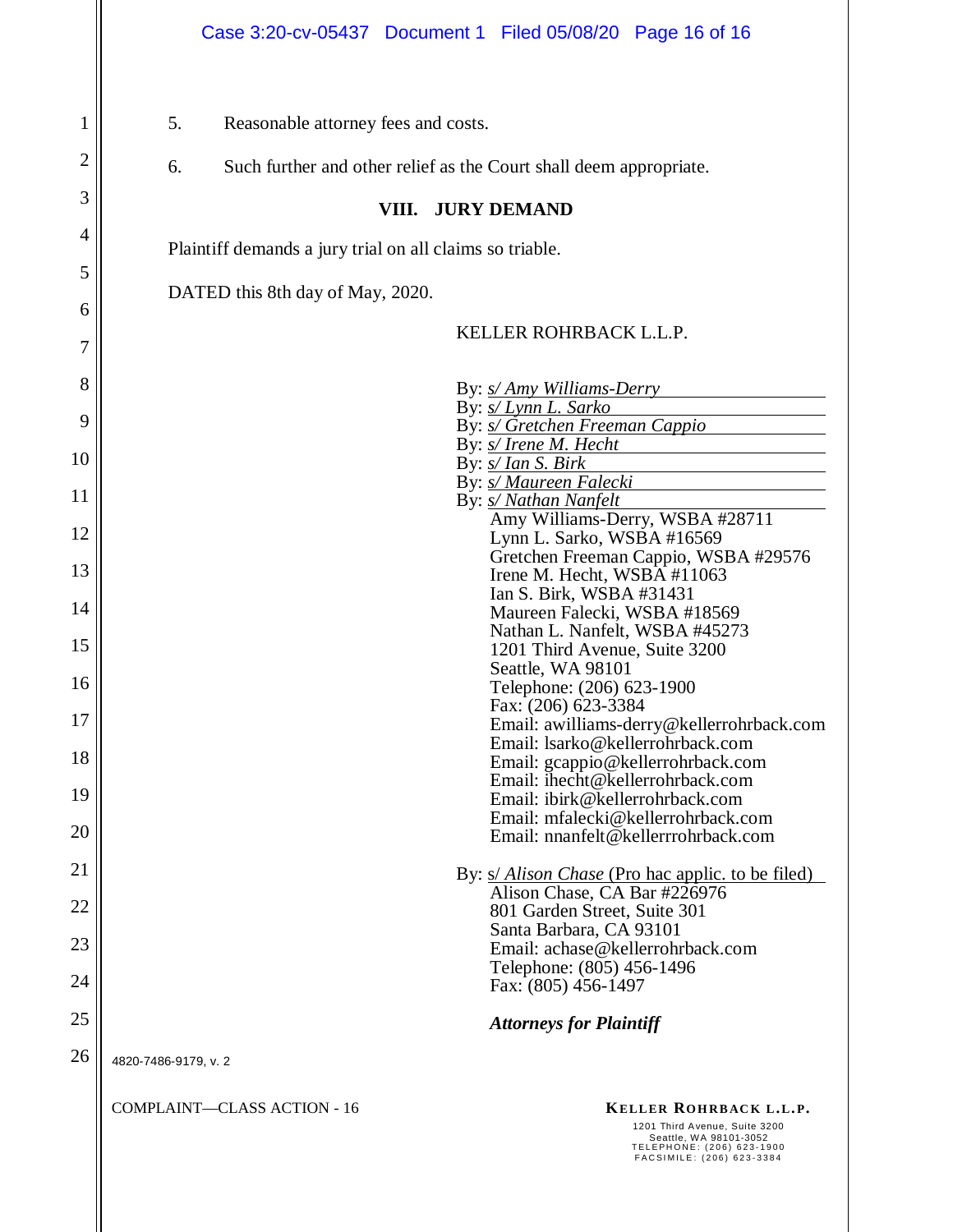| 1  | 5.<br>Reasonable attorney fees and costs.                                                                                                                                         |  |  |  |  |
|----|-----------------------------------------------------------------------------------------------------------------------------------------------------------------------------------|--|--|--|--|
| 2  | 6.<br>Such further and other relief as the Court shall deem appropriate.                                                                                                          |  |  |  |  |
| 3  | <b>JURY DEMAND</b><br>VIII.                                                                                                                                                       |  |  |  |  |
| 4  | Plaintiff demands a jury trial on all claims so triable.                                                                                                                          |  |  |  |  |
| 5  | DATED this 8th day of May, 2020.                                                                                                                                                  |  |  |  |  |
| 6  |                                                                                                                                                                                   |  |  |  |  |
| 7  | KELLER ROHRBACK L.L.P.                                                                                                                                                            |  |  |  |  |
| 8  | By: <i>s/Amy Williams-Derry</i>                                                                                                                                                   |  |  |  |  |
| 9  | By: s/ Lynn L. Sarko<br>By: s/ Gretchen Freeman Cappio                                                                                                                            |  |  |  |  |
| 10 | By: s/ Irene M. Hecht<br>By: $s/$ <i>Ian S. Birk</i>                                                                                                                              |  |  |  |  |
| 11 | By: <i>s/ Maureen Falecki</i><br>By: s/ Nathan Nanfelt                                                                                                                            |  |  |  |  |
| 12 | Amy Williams-Derry, WSBA #28711<br>Lynn L. Sarko, WSBA #16569                                                                                                                     |  |  |  |  |
| 13 | Gretchen Freeman Cappio, WSBA #29576<br>Irene M. Hecht, WSBA #11063                                                                                                               |  |  |  |  |
| 14 | Ian S. Birk, WSBA #31431<br>Maureen Falecki, WSBA #18569                                                                                                                          |  |  |  |  |
| 15 | Nathan L. Nanfelt, WSBA #45273<br>1201 Third Avenue, Suite 3200                                                                                                                   |  |  |  |  |
| 16 | Seattle, WA 98101<br>Telephone: (206) 623-1900                                                                                                                                    |  |  |  |  |
| 17 | Fax: (206) 623-3384<br>Email: awilliams-derry@kellerrohrback.com                                                                                                                  |  |  |  |  |
| 18 | Email: lsarko@kellerrohrback.com<br>Email: gcappio@kellerrohrback.com                                                                                                             |  |  |  |  |
| 19 | Email: ihecht@kellerrohrback.com                                                                                                                                                  |  |  |  |  |
| 20 | Email: ibirk@kellerrohrback.com<br>Email: mfalecki@kellerrohrback.com                                                                                                             |  |  |  |  |
| 21 | Email: nnanfelt@kellerrrohrback.com                                                                                                                                               |  |  |  |  |
| 22 | By: s/ Alison Chase (Pro hac applic. to be filed)<br>Alison Chase, CA Bar #226976                                                                                                 |  |  |  |  |
|    | 801 Garden Street, Suite 301<br>Santa Barbara, CA 93101                                                                                                                           |  |  |  |  |
| 23 | Email: achase@kellerrohrback.com<br>Telephone: (805) 456-1496                                                                                                                     |  |  |  |  |
| 24 | Fax: (805) 456-1497                                                                                                                                                               |  |  |  |  |
| 25 | <b>Attorneys for Plaintiff</b>                                                                                                                                                    |  |  |  |  |
| 26 | 4820-7486-9179, v. 2                                                                                                                                                              |  |  |  |  |
|    | <b>COMPLAINT-CLASS ACTION - 16</b><br>KELLER ROHRBACK L.L.P.<br>1201 Third Avenue, Suite 3200<br>Seattle, WA 98101-3052<br>TELEPHONE: (206) 623-1900<br>FACSIMILE: (206) 623-3384 |  |  |  |  |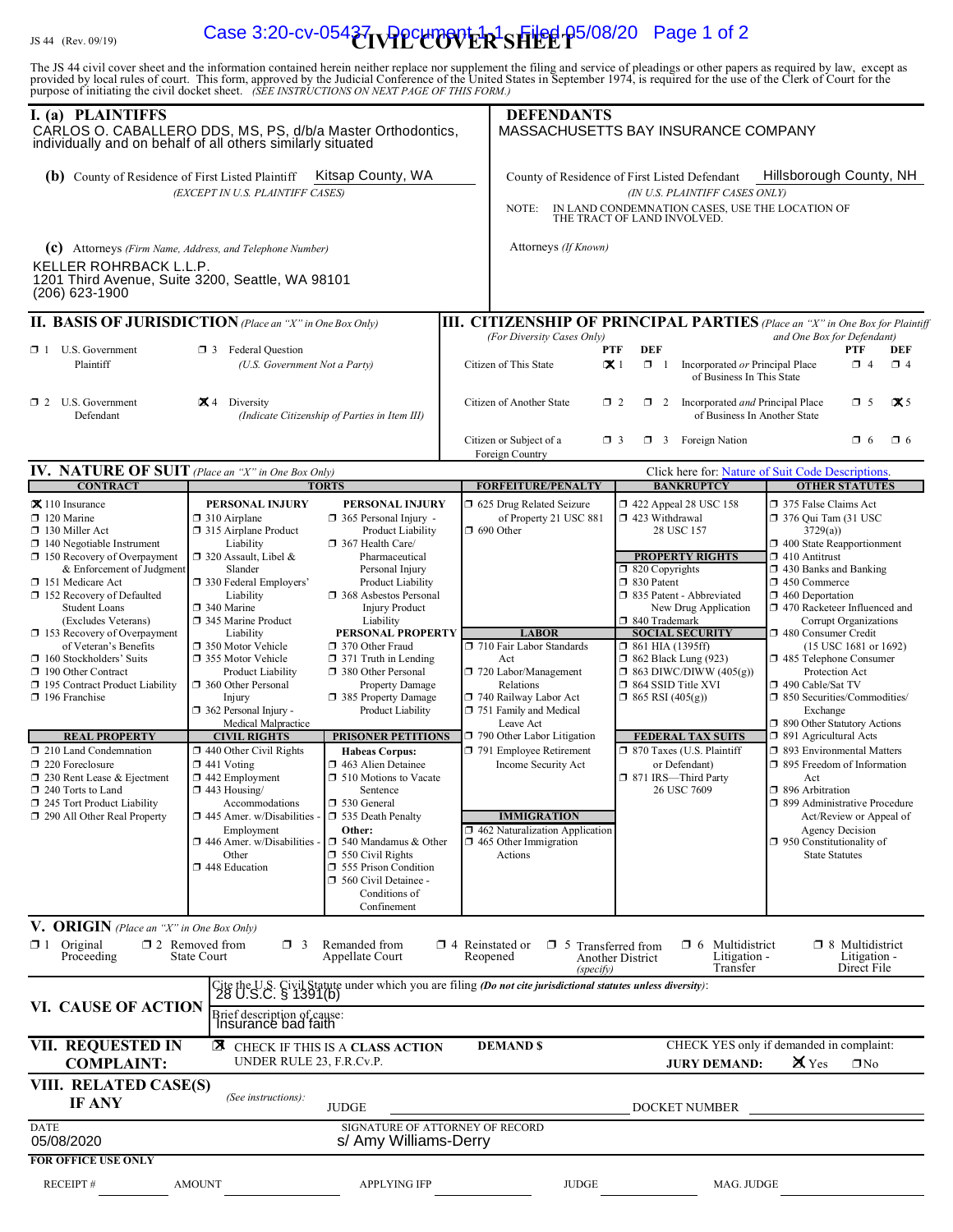## $\mathcal{H}_{\rm{HS44-}(Rev. 09/19)}$  Case 3:20-cv-05437  $\mathbf{VPC}$   $\mathbf{VPC}$   $\mathbf{FP}$   $\mathbf{F}$   $\mathbf{F}$   $\mathbf{F}$   $\mathbf{F}$   $\mathbf{F}$   $\mathbf{F}$   $\mathbf{F}$   $\mathbf{F}$   $\mathbf{F}$   $\mathbf{F}$   $\mathbf{F}$   $\mathbf{F}$   $\mathbf{F}$   $\mathbf{F}$   $\mathbf{F}$   $\mathbf{F}$   $\math$

The JS 44 civil cover sheet and the information contained herein neither replace nor supplement the filing and service of pleadings or other papers as required by law, except as provided by local rules of court. This form,

| <b>I.</b> (a) PLAINTIFFS<br>CARLOS O. CABALLERO DDS, MS, PS, d/b/a Master Orthodontics,<br>individually and on behalf of all others similarly situated                                                                                                                                                                                                                                                                                                                                                                                                                                                                                                      |                                                                                                                                                                                                                                                                                                                                                                                                                                                                                                                                                                                                                        |                                                                                                                                                                                                                                                                                                                                                                                                                                                                                                                                                                                                                                                                                            | <b>DEFENDANTS</b>                                                                                                                                                                                                                                                                                                                                                                                                    | MASSACHUSETTS BAY INSURANCE COMPANY                                                                                                                                                                                                                                                                                                                                                                                                                                                                     |                                                                                                                                                                                                                                                                                                                                                                                                                                                                                                                                                                                                                                                                                                                                 |  |
|-------------------------------------------------------------------------------------------------------------------------------------------------------------------------------------------------------------------------------------------------------------------------------------------------------------------------------------------------------------------------------------------------------------------------------------------------------------------------------------------------------------------------------------------------------------------------------------------------------------------------------------------------------------|------------------------------------------------------------------------------------------------------------------------------------------------------------------------------------------------------------------------------------------------------------------------------------------------------------------------------------------------------------------------------------------------------------------------------------------------------------------------------------------------------------------------------------------------------------------------------------------------------------------------|--------------------------------------------------------------------------------------------------------------------------------------------------------------------------------------------------------------------------------------------------------------------------------------------------------------------------------------------------------------------------------------------------------------------------------------------------------------------------------------------------------------------------------------------------------------------------------------------------------------------------------------------------------------------------------------------|----------------------------------------------------------------------------------------------------------------------------------------------------------------------------------------------------------------------------------------------------------------------------------------------------------------------------------------------------------------------------------------------------------------------|---------------------------------------------------------------------------------------------------------------------------------------------------------------------------------------------------------------------------------------------------------------------------------------------------------------------------------------------------------------------------------------------------------------------------------------------------------------------------------------------------------|---------------------------------------------------------------------------------------------------------------------------------------------------------------------------------------------------------------------------------------------------------------------------------------------------------------------------------------------------------------------------------------------------------------------------------------------------------------------------------------------------------------------------------------------------------------------------------------------------------------------------------------------------------------------------------------------------------------------------------|--|
| Kitsap County, WA<br><b>(b)</b> County of Residence of First Listed Plaintiff<br>(EXCEPT IN U.S. PLAINTIFF CASES)                                                                                                                                                                                                                                                                                                                                                                                                                                                                                                                                           |                                                                                                                                                                                                                                                                                                                                                                                                                                                                                                                                                                                                                        |                                                                                                                                                                                                                                                                                                                                                                                                                                                                                                                                                                                                                                                                                            | Hillsborough County, NH<br>County of Residence of First Listed Defendant<br>(IN U.S. PLAINTIFF CASES ONLY)<br>IN LAND CONDEMNATION CASES, USE THE LOCATION OF<br>NOTE:<br>THE TRACT OF LAND INVOLVED.                                                                                                                                                                                                                |                                                                                                                                                                                                                                                                                                                                                                                                                                                                                                         |                                                                                                                                                                                                                                                                                                                                                                                                                                                                                                                                                                                                                                                                                                                                 |  |
| (c) Attorneys (Firm Name, Address, and Telephone Number)<br>KELLER ROHRBACK L.L.P.<br>1201 Third Avenue, Suite 3200, Seattle, WA 98101<br>$(206)$ 623-1900                                                                                                                                                                                                                                                                                                                                                                                                                                                                                                  |                                                                                                                                                                                                                                                                                                                                                                                                                                                                                                                                                                                                                        |                                                                                                                                                                                                                                                                                                                                                                                                                                                                                                                                                                                                                                                                                            | Attorneys (If Known)                                                                                                                                                                                                                                                                                                                                                                                                 |                                                                                                                                                                                                                                                                                                                                                                                                                                                                                                         |                                                                                                                                                                                                                                                                                                                                                                                                                                                                                                                                                                                                                                                                                                                                 |  |
| <b>II. BASIS OF JURISDICTION</b> (Place an "X" in One Box Only)                                                                                                                                                                                                                                                                                                                                                                                                                                                                                                                                                                                             |                                                                                                                                                                                                                                                                                                                                                                                                                                                                                                                                                                                                                        |                                                                                                                                                                                                                                                                                                                                                                                                                                                                                                                                                                                                                                                                                            |                                                                                                                                                                                                                                                                                                                                                                                                                      | <b>III. CITIZENSHIP OF PRINCIPAL PARTIES</b> (Place an "X" in One Box for Plaintiff                                                                                                                                                                                                                                                                                                                                                                                                                     |                                                                                                                                                                                                                                                                                                                                                                                                                                                                                                                                                                                                                                                                                                                                 |  |
| $\Box$ 1 U.S. Government<br><b>3</b> Federal Question<br>(U.S. Government Not a Party)<br>Plaintiff                                                                                                                                                                                                                                                                                                                                                                                                                                                                                                                                                         |                                                                                                                                                                                                                                                                                                                                                                                                                                                                                                                                                                                                                        | (For Diversity Cases Only)<br>Citizen of This State                                                                                                                                                                                                                                                                                                                                                                                                                                                                                                                                                                                                                                        | <b>DEF</b><br><b>PTF</b><br>$\mathbf{X}$ 1<br>$\Box$ 1<br>Incorporated or Principal Place<br>of Business In This State                                                                                                                                                                                                                                                                                               | and One Box for Defendant)<br><b>PTF</b><br>DEF<br>$\Box$ 4<br>$\Box$ 4                                                                                                                                                                                                                                                                                                                                                                                                                                 |                                                                                                                                                                                                                                                                                                                                                                                                                                                                                                                                                                                                                                                                                                                                 |  |
| $\Box$ 2 U.S. Government<br>Defendant                                                                                                                                                                                                                                                                                                                                                                                                                                                                                                                                                                                                                       | $\mathbf{\times}$ 4 Diversity                                                                                                                                                                                                                                                                                                                                                                                                                                                                                                                                                                                          | (Indicate Citizenship of Parties in Item III)                                                                                                                                                                                                                                                                                                                                                                                                                                                                                                                                                                                                                                              | Citizen of Another State<br>Citizen or Subject of a                                                                                                                                                                                                                                                                                                                                                                  | Incorporated and Principal Place<br>$\Box$ 2<br>$\Box$ 2<br>of Business In Another State<br>$\Box$ 3 Foreign Nation<br>$\Box$ 3                                                                                                                                                                                                                                                                                                                                                                         | $\Box$ 5<br>$\mathbf{X}$ 5<br>$\Box$ 6<br>$\Box$ 6                                                                                                                                                                                                                                                                                                                                                                                                                                                                                                                                                                                                                                                                              |  |
|                                                                                                                                                                                                                                                                                                                                                                                                                                                                                                                                                                                                                                                             |                                                                                                                                                                                                                                                                                                                                                                                                                                                                                                                                                                                                                        |                                                                                                                                                                                                                                                                                                                                                                                                                                                                                                                                                                                                                                                                                            | Foreign Country                                                                                                                                                                                                                                                                                                                                                                                                      |                                                                                                                                                                                                                                                                                                                                                                                                                                                                                                         |                                                                                                                                                                                                                                                                                                                                                                                                                                                                                                                                                                                                                                                                                                                                 |  |
| <b>IV. NATURE OF SUIT</b> (Place an "X" in One Box Only)<br><b>CONTRACT</b>                                                                                                                                                                                                                                                                                                                                                                                                                                                                                                                                                                                 |                                                                                                                                                                                                                                                                                                                                                                                                                                                                                                                                                                                                                        | <b>TORTS</b>                                                                                                                                                                                                                                                                                                                                                                                                                                                                                                                                                                                                                                                                               | <b>FORFEITURE/PENALTY</b>                                                                                                                                                                                                                                                                                                                                                                                            | <b>BANKRUPTCY</b>                                                                                                                                                                                                                                                                                                                                                                                                                                                                                       | Click here for: Nature of Suit Code Descriptions.<br><b>OTHER STATUTES</b>                                                                                                                                                                                                                                                                                                                                                                                                                                                                                                                                                                                                                                                      |  |
| $\mathbf{\times}$ 110 Insurance<br>$\Box$ 120 Marine<br>$\Box$ 130 Miller Act<br>$\Box$ 140 Negotiable Instrument<br>$\Box$ 150 Recovery of Overpayment<br>& Enforcement of Judgment<br>151 Medicare Act<br>152 Recovery of Defaulted<br>Student Loans<br>(Excludes Veterans)<br>$\Box$ 153 Recovery of Overpayment<br>of Veteran's Benefits<br>$\Box$ 160 Stockholders' Suits<br>190 Other Contract<br>195 Contract Product Liability<br>$\Box$ 196 Franchise<br><b>REAL PROPERTY</b><br>1 210 Land Condemnation<br>$\Box$ 220 Foreclosure<br>230 Rent Lease & Ejectment<br>240 Torts to Land<br>245 Tort Product Liability<br>290 All Other Real Property | PERSONAL INJURY<br>$\Box$ 310 Airplane<br>315 Airplane Product<br>Liability<br>$\Box$ 320 Assault, Libel &<br>Slander<br>330 Federal Employers'<br>Liability<br>340 Marine<br>345 Marine Product<br>Liability<br>□ 350 Motor Vehicle<br>355 Motor Vehicle<br>Product Liability<br>360 Other Personal<br>Injury<br>362 Personal Injury -<br>Medical Malpractice<br><b>CIVIL RIGHTS</b><br>$\Box$ 440 Other Civil Rights<br>$\Box$ 441 Voting<br>$\Box$ 442 Employment<br>$\Box$ 443 Housing/<br>Accommodations<br>445 Amer. w/Disabilities -<br>Employment<br>446 Amer. w/Disabilities<br>Other<br><b>148 Education</b> | PERSONAL INJURY<br>365 Personal Injury -<br>Product Liability<br>367 Health Care/<br>Pharmaceutical<br>Personal Injury<br>Product Liability<br>368 Asbestos Personal<br><b>Injury Product</b><br>Liability<br>PERSONAL PROPERTY<br>370 Other Fraud<br>$\Box$ 371 Truth in Lending<br>380 Other Personal<br>Property Damage<br>385 Property Damage<br>Product Liability<br><b>PRISONER PETITIONS</b><br><b>Habeas Corpus:</b><br>463 Alien Detainee<br>$\Box$ 510 Motions to Vacate<br>Sentence<br>□ 530 General<br>□ 535 Death Penalty<br>Other:<br>$\Box$ 540 Mandamus & Other<br>$\Box$ 550 Civil Rights<br>555 Prison Condition<br>560 Civil Detainee -<br>Conditions of<br>Confinement | 5 625 Drug Related Seizure<br>of Property 21 USC 881<br>$\Box$ 690 Other<br><b>LABOR</b><br>710 Fair Labor Standards<br>Act<br>720 Labor/Management<br>Relations<br>740 Railway Labor Act<br>751 Family and Medical<br>Leave Act<br>790 Other Labor Litigation<br>791 Employee Retirement<br>Income Security Act<br><b>IMMIGRATION</b><br>1462 Naturalization Application<br>$\Box$ 465 Other Immigration<br>Actions | $\Box$ 422 Appeal 28 USC 158<br>423 Withdrawal<br>28 USC 157<br><b>PROPERTY RIGHTS</b><br>$\Box$ 820 Copyrights<br>$\Box$ 830 Patent<br>335 Patent - Abbreviated<br>New Drug Application<br>□ 840 Trademark<br><b>SOCIAL SECURITY</b><br>$\Box$ 861 HIA (1395ff)<br>$\Box$ 862 Black Lung (923)<br>$\Box$ 863 DIWC/DIWW (405(g))<br>□ 864 SSID Title XVI<br>$\Box$ 865 RSI (405(g))<br><b>FEDERAL TAX SUITS</b><br>□ 870 Taxes (U.S. Plaintiff<br>or Defendant)<br>□ 871 IRS-Third Party<br>26 USC 7609 | 375 False Claims Act<br>$\Box$ 376 Oui Tam (31 USC)<br>3729(a)<br>400 State Reapportionment<br>$\Box$ 410 Antitrust<br>$\Box$ 430 Banks and Banking<br>$\Box$ 450 Commerce<br>460 Deportation<br>1 470 Racketeer Influenced and<br>Corrupt Organizations<br>□ 480 Consumer Credit<br>(15 USC 1681 or 1692)<br>1485 Telephone Consumer<br>Protection Act<br>□ 490 Cable/Sat TV<br>□ 850 Securities/Commodities/<br>Exchange<br>90 Other Statutory Actions<br>□ 891 Agricultural Acts<br>□ 893 Environmental Matters<br>$\Box$ 895 Freedom of Information<br>Act<br>□ 896 Arbitration<br>□ 899 Administrative Procedure<br>Act/Review or Appeal of<br>Agency Decision<br>$\Box$ 950 Constitutionality of<br><b>State Statutes</b> |  |
| <b>V. ORIGIN</b> (Place an "X" in One Box Only)                                                                                                                                                                                                                                                                                                                                                                                                                                                                                                                                                                                                             |                                                                                                                                                                                                                                                                                                                                                                                                                                                                                                                                                                                                                        |                                                                                                                                                                                                                                                                                                                                                                                                                                                                                                                                                                                                                                                                                            |                                                                                                                                                                                                                                                                                                                                                                                                                      |                                                                                                                                                                                                                                                                                                                                                                                                                                                                                                         |                                                                                                                                                                                                                                                                                                                                                                                                                                                                                                                                                                                                                                                                                                                                 |  |
| $\Box$ 1 Original<br>Proceeding                                                                                                                                                                                                                                                                                                                                                                                                                                                                                                                                                                                                                             | $\Box$ 2 Removed from<br>$\Box$ 3<br><b>State Court</b>                                                                                                                                                                                                                                                                                                                                                                                                                                                                                                                                                                | Remanded from<br>Appellate Court                                                                                                                                                                                                                                                                                                                                                                                                                                                                                                                                                                                                                                                           | $\Box$ 4 Reinstated or $\Box$ 5 Transferred from<br>Reopened                                                                                                                                                                                                                                                                                                                                                         | $\Box$ 6 Multidistrict<br>Litigation -<br><b>Another District</b><br>Transfer<br>(specify)                                                                                                                                                                                                                                                                                                                                                                                                              | $\Box$ 8 Multidistrict<br>Litigation -<br>Direct File                                                                                                                                                                                                                                                                                                                                                                                                                                                                                                                                                                                                                                                                           |  |
| VI. CAUSE OF ACTION                                                                                                                                                                                                                                                                                                                                                                                                                                                                                                                                                                                                                                         | Brief description of cause:<br>Insurance bad faith                                                                                                                                                                                                                                                                                                                                                                                                                                                                                                                                                                     |                                                                                                                                                                                                                                                                                                                                                                                                                                                                                                                                                                                                                                                                                            | Cite the U.S. Civil Statute under which you are filing ( <i>Do not cite jurisdictional statutes unless diversity</i> ):<br>28 U.S.C. § 1391(b)                                                                                                                                                                                                                                                                       |                                                                                                                                                                                                                                                                                                                                                                                                                                                                                                         |                                                                                                                                                                                                                                                                                                                                                                                                                                                                                                                                                                                                                                                                                                                                 |  |
| VII. REQUESTED IN<br>⊠<br>CHECK IF THIS IS A CLASS ACTION<br>UNDER RULE 23, F.R.Cv.P.<br><b>COMPLAINT:</b>                                                                                                                                                                                                                                                                                                                                                                                                                                                                                                                                                  |                                                                                                                                                                                                                                                                                                                                                                                                                                                                                                                                                                                                                        | <b>DEMAND \$</b>                                                                                                                                                                                                                                                                                                                                                                                                                                                                                                                                                                                                                                                                           | <b>JURY DEMAND:</b>                                                                                                                                                                                                                                                                                                                                                                                                  | CHECK YES only if demanded in complaint:<br>X Yes<br>$\Box$ No                                                                                                                                                                                                                                                                                                                                                                                                                                          |                                                                                                                                                                                                                                                                                                                                                                                                                                                                                                                                                                                                                                                                                                                                 |  |
| VIII. RELATED CASE(S)<br><b>IF ANY</b>                                                                                                                                                                                                                                                                                                                                                                                                                                                                                                                                                                                                                      | (See instructions):                                                                                                                                                                                                                                                                                                                                                                                                                                                                                                                                                                                                    | <b>JUDGE</b>                                                                                                                                                                                                                                                                                                                                                                                                                                                                                                                                                                                                                                                                               |                                                                                                                                                                                                                                                                                                                                                                                                                      | DOCKET NUMBER                                                                                                                                                                                                                                                                                                                                                                                                                                                                                           |                                                                                                                                                                                                                                                                                                                                                                                                                                                                                                                                                                                                                                                                                                                                 |  |
| <b>DATE</b><br>05/08/2020                                                                                                                                                                                                                                                                                                                                                                                                                                                                                                                                                                                                                                   |                                                                                                                                                                                                                                                                                                                                                                                                                                                                                                                                                                                                                        | s/ Amy Williams-Derry                                                                                                                                                                                                                                                                                                                                                                                                                                                                                                                                                                                                                                                                      | SIGNATURE OF ATTORNEY OF RECORD                                                                                                                                                                                                                                                                                                                                                                                      |                                                                                                                                                                                                                                                                                                                                                                                                                                                                                                         |                                                                                                                                                                                                                                                                                                                                                                                                                                                                                                                                                                                                                                                                                                                                 |  |
| <b>FOR OFFICE USE ONLY</b><br>RECEIPT#                                                                                                                                                                                                                                                                                                                                                                                                                                                                                                                                                                                                                      | <b>AMOUNT</b>                                                                                                                                                                                                                                                                                                                                                                                                                                                                                                                                                                                                          | <b>APPLYING IFP</b>                                                                                                                                                                                                                                                                                                                                                                                                                                                                                                                                                                                                                                                                        | <b>JUDGE</b>                                                                                                                                                                                                                                                                                                                                                                                                         | MAG. JUDGE                                                                                                                                                                                                                                                                                                                                                                                                                                                                                              |                                                                                                                                                                                                                                                                                                                                                                                                                                                                                                                                                                                                                                                                                                                                 |  |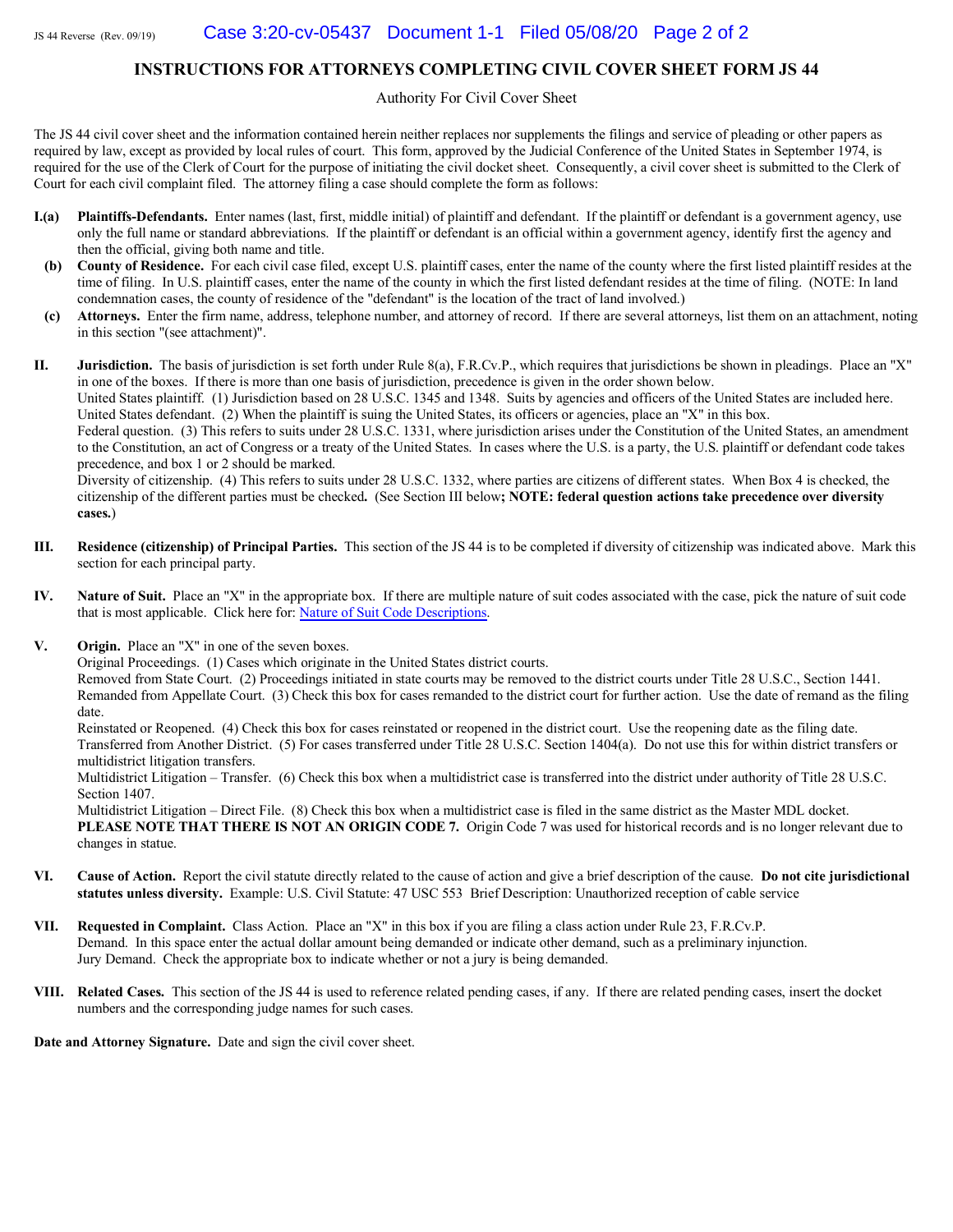#### INSTRUCTIONS FOR ATTORNEYS COMPLETING CIVIL COVER SHEET FORM JS 44

Authority For Civil Cover Sheet

The JS 44 civil cover sheet and the information contained herein neither replaces nor supplements the filings and service of pleading or other papers as required by law, except as provided by local rules of court. This form, approved by the Judicial Conference of the United States in September 1974, is required for the use of the Clerk of Court for the purpose of initiating the civil docket sheet. Consequently, a civil cover sheet is submitted to the Clerk of Court for each civil complaint filed. The attorney filing a case should complete the form as follows:

- **I.(a)** Plaintiffs-Defendants. Enter names (last, first, middle initial) of plaintiff and defendant. If the plaintiff or defendant is a government agency, use only the full name or standard abbreviations. If the plaintiff or defendant is an official within a government agency, identify first the agency and then the official, giving both name and title.
- (b) County of Residence. For each civil case filed, except U.S. plaintiff cases, enter the name of the county where the first listed plaintiff resides at the time of filing. In U.S. plaintiff cases, enter the name of the county in which the first listed defendant resides at the time of filing. (NOTE: In land condemnation cases, the county of residence of the "defendant" is the location of the tract of land involved.)
- (c) Attorneys. Enter the firm name, address, telephone number, and attorney of record. If there are several attorneys, list them on an attachment, noting in this section "(see attachment)".

**II.** Jurisdiction. The basis of jurisdiction is set forth under Rule 8(a), F.R.Cv.P., which requires that jurisdictions be shown in pleadings. Place an "X" in one of the boxes. If there is more than one basis of jurisdiction, precedence is given in the order shown below.

United States plaintiff. (1) Jurisdiction based on 28 U.S.C. 1345 and 1348. Suits by agencies and officers of the United States are included here. United States defendant. (2) When the plaintiff is suing the United States, its officers or agencies, place an "X" in this box.

Federal question. (3) This refers to suits under 28 U.S.C. 1331, where jurisdiction arises under the Constitution of the United States, an amendment to the Constitution, an act of Congress or a treaty of the United States. In cases where the U.S. is a party, the U.S. plaintiff or defendant code takes precedence, and box 1 or 2 should be marked.

Diversity of citizenship. (4) This refers to suits under 28 U.S.C. 1332, where parties are citizens of different states. When Box 4 is checked, the citizenship of the different parties must be checked. (See Section III below; NOTE: federal question actions take precedence over diversity cases.)

- III. Residence (citizenship) of Principal Parties. This section of the JS 44 is to be completed if diversity of citizenship was indicated above. Mark this section for each principal party.
- IV. Nature of Suit. Place an "X" in the appropriate box. If there are multiple nature of suit codes associated with the case, pick the nature of suit code that is most applicable. Click here for: Nature of Suit Code Descriptions.
- V. Origin. Place an "X" in one of the seven boxes.

Original Proceedings. (1) Cases which originate in the United States district courts.

Removed from State Court. (2) Proceedings initiated in state courts may be removed to the district courts under Title 28 U.S.C., Section 1441. Remanded from Appellate Court. (3) Check this box for cases remanded to the district court for further action. Use the date of remand as the filing date.

Reinstated or Reopened. (4) Check this box for cases reinstated or reopened in the district court. Use the reopening date as the filing date. Transferred from Another District. (5) For cases transferred under Title 28 U.S.C. Section 1404(a). Do not use this for within district transfers or multidistrict litigation transfers.

Multidistrict Litigation – Transfer. (6) Check this box when a multidistrict case is transferred into the district under authority of Title 28 U.S.C. Section  $1407$ .

Multidistrict Litigation – Direct File. (8) Check this box when a multidistrict case is filed in the same district as the Master MDL docket. PLEASE NOTE THAT THERE IS NOT AN ORIGIN CODE 7. Origin Code 7 was used for historical records and is no longer relevant due to changes in statue.

- VI. Cause of Action. Report the civil statute directly related to the cause of action and give a brief description of the cause. Do not cite jurisdictional statutes unless diversity. Example: U.S. Civil Statute: 47 USC 553 Brief Description: Unauthorized reception of cable service
- VII. Requested in Complaint. Class Action. Place an "X" in this box if you are filing a class action under Rule 23, F.R.Cv.P. Demand. In this space enter the actual dollar amount being demanded or indicate other demand, such as a preliminary injunction. Jury Demand. Check the appropriate box to indicate whether or not a jury is being demanded.
- VIII. Related Cases. This section of the JS 44 is used to reference related pending cases, if any. If there are related pending cases, insert the docket numbers and the corresponding judge names for such cases.

Date and Attorney Signature. Date and sign the civil cover sheet.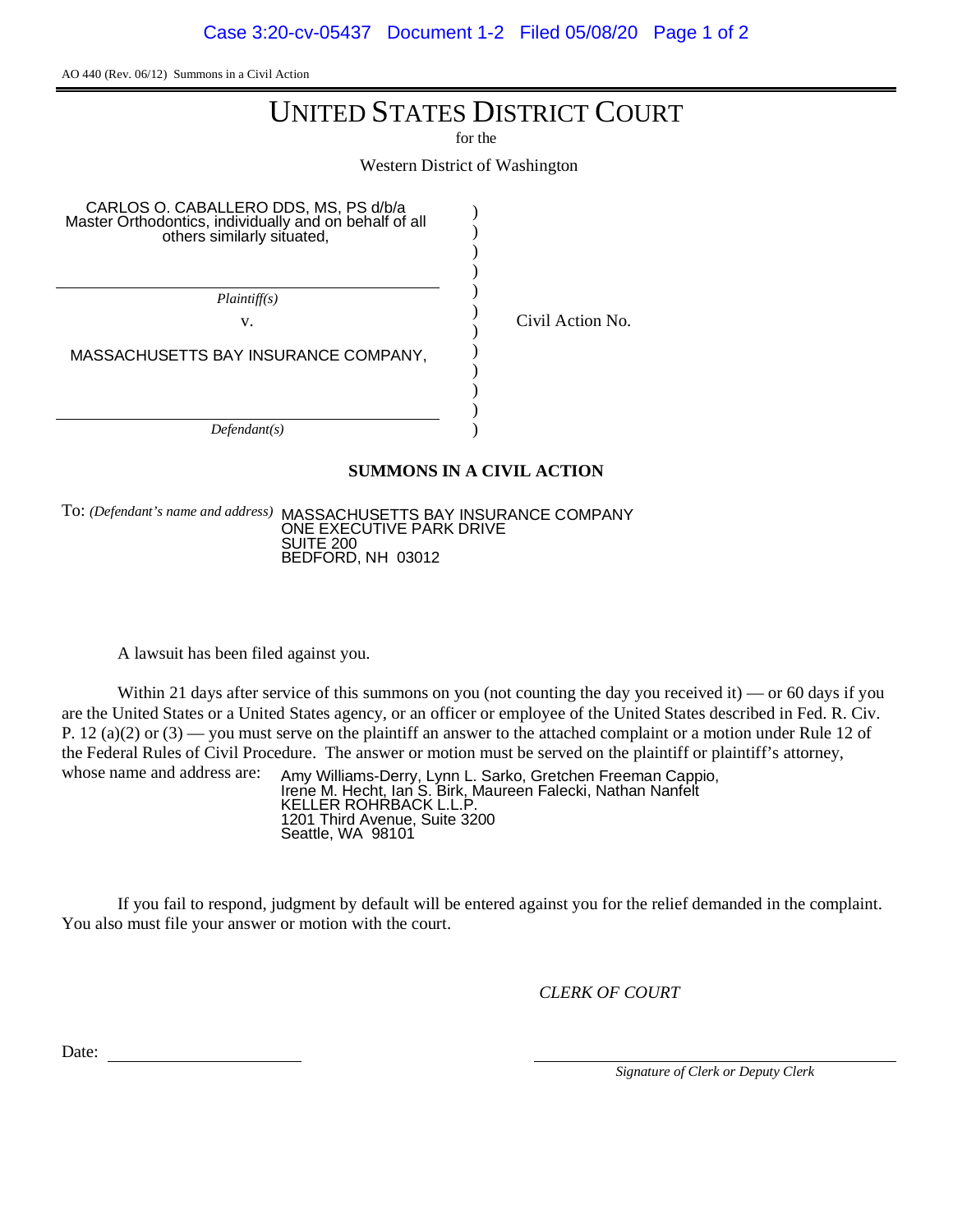Case 3:20-cv-05437 Document 1-2 Filed 05/08/20 Page 1 of 2

AO 440 (Rev. 06/12) Summons in a Civil Action

## UNITED STATES DISTRICT COURT

for the

Western District of Washington

) ) ) ) ) ) ) ) ) ) ) )

v. Civil Action No.

CARLOS O. CABALLERO DDS, MS, PS d/b/a Master Orthodontics, individually and on behalf of all others similarly situated,

*Plaintiff(s)*

MASSACHUSETTS BAY INSURANCE COMPANY,

*Defendant(s)*

#### **SUMMONS IN A CIVIL ACTION**

To: *(Defendant's name and address)* MASSACHUSETTS BAY INSURANCE COMPANY ONE EXECUTIVE PARK DRIVE SUITE 200 BEDFORD, NH 03012

A lawsuit has been filed against you.

Within 21 days after service of this summons on you (not counting the day you received it) — or 60 days if you are the United States or a United States agency, or an officer or employee of the United States described in Fed. R. Civ. P. 12 (a)(2) or (3) — you must serve on the plaintiff an answer to the attached complaint or a motion under Rule 12 of the Federal Rules of Civil Procedure. The answer or motion must be served on the plaintiff or plaintiff's attorney, whose name and address are:

Amy Williams-Derry, Lynn L. Sarko, Gretchen Freeman Cappio, Irene M. Hecht, Ian S. Birk, Maureen Falecki, Nathan Nanfelt KELLER ROHRBACK L.L.P. 1201 Third Avenue, Suite 3200 Seattle, WA 98101

If you fail to respond, judgment by default will be entered against you for the relief demanded in the complaint. You also must file your answer or motion with the court.

*CLERK OF COURT*

Date:

*Signature of Clerk or Deputy Clerk*